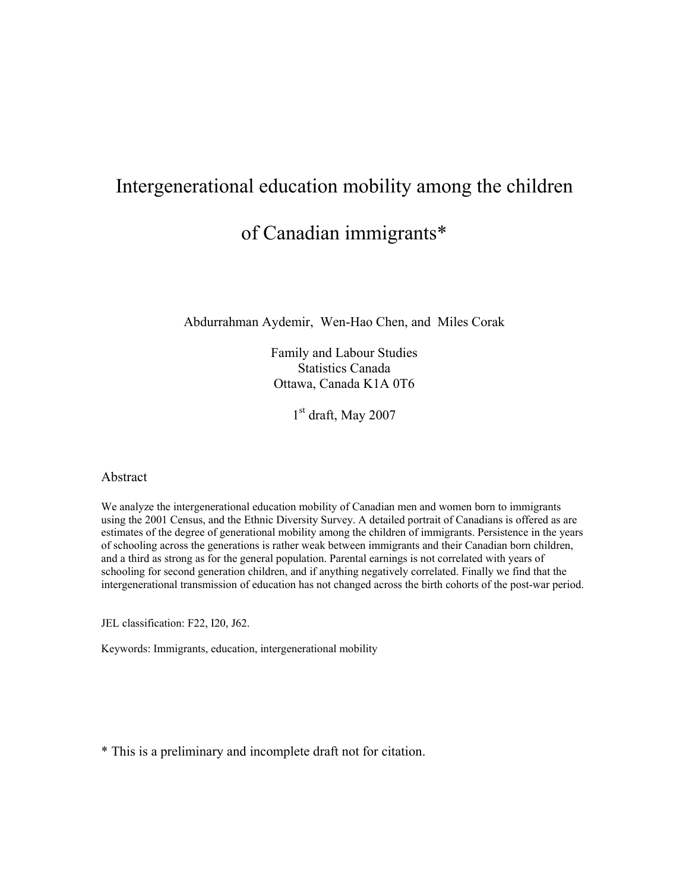# Intergenerational education mobility among the children of Canadian immigrants\*

Abdurrahman Aydemir, Wen-Hao Chen, and Miles Corak

Family and Labour Studies Statistics Canada Ottawa, Canada K1A 0T6

1<sup>st</sup> draft, May 2007

#### Abstract

We analyze the intergenerational education mobility of Canadian men and women born to immigrants using the 2001 Census, and the Ethnic Diversity Survey. A detailed portrait of Canadians is offered as are estimates of the degree of generational mobility among the children of immigrants. Persistence in the years of schooling across the generations is rather weak between immigrants and their Canadian born children, and a third as strong as for the general population. Parental earnings is not correlated with years of schooling for second generation children, and if anything negatively correlated. Finally we find that the intergenerational transmission of education has not changed across the birth cohorts of the post-war period.

JEL classification: F22, I20, J62.

Keywords: Immigrants, education, intergenerational mobility

\* This is a preliminary and incomplete draft not for citation.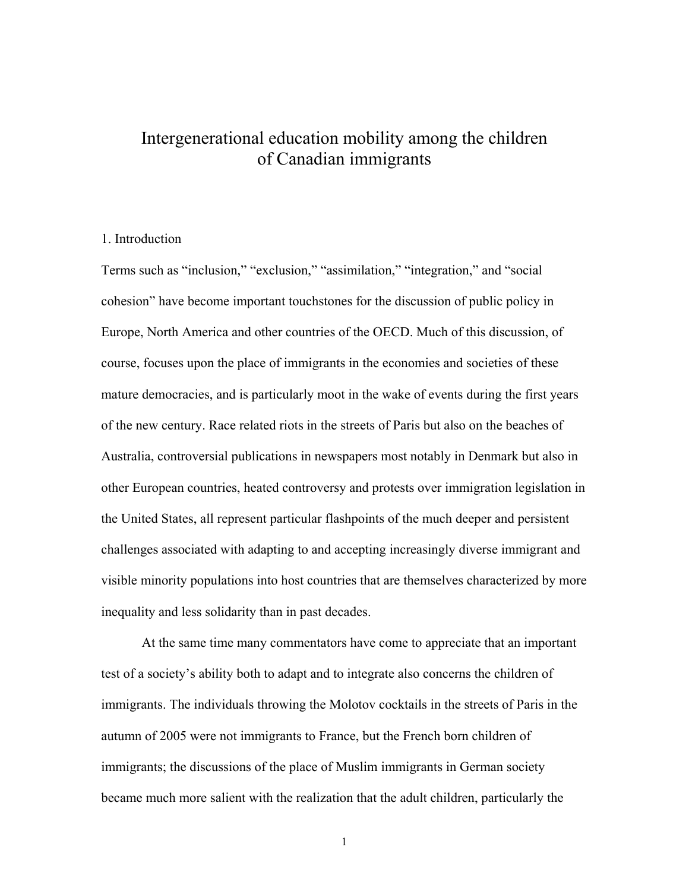# Intergenerational education mobility among the children of Canadian immigrants

### 1. Introduction

Terms such as "inclusion," "exclusion," "assimilation," "integration," and "social cohesion" have become important touchstones for the discussion of public policy in Europe, North America and other countries of the OECD. Much of this discussion, of course, focuses upon the place of immigrants in the economies and societies of these mature democracies, and is particularly moot in the wake of events during the first years of the new century. Race related riots in the streets of Paris but also on the beaches of Australia, controversial publications in newspapers most notably in Denmark but also in other European countries, heated controversy and protests over immigration legislation in the United States, all represent particular flashpoints of the much deeper and persistent challenges associated with adapting to and accepting increasingly diverse immigrant and visible minority populations into host countries that are themselves characterized by more inequality and less solidarity than in past decades.

At the same time many commentators have come to appreciate that an important test of a society's ability both to adapt and to integrate also concerns the children of immigrants. The individuals throwing the Molotov cocktails in the streets of Paris in the autumn of 2005 were not immigrants to France, but the French born children of immigrants; the discussions of the place of Muslim immigrants in German society became much more salient with the realization that the adult children, particularly the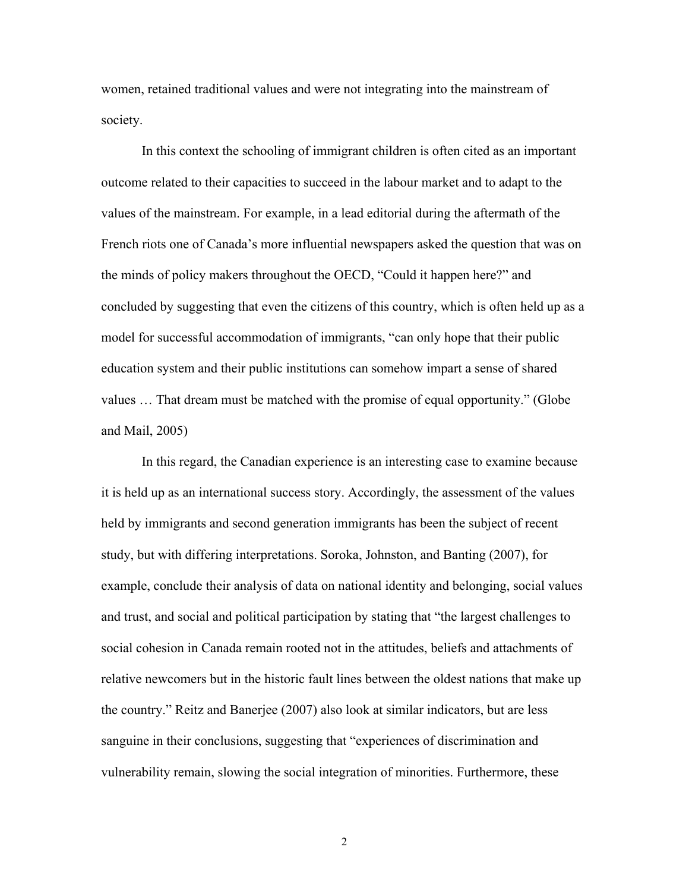women, retained traditional values and were not integrating into the mainstream of society.

In this context the schooling of immigrant children is often cited as an important outcome related to their capacities to succeed in the labour market and to adapt to the values of the mainstream. For example, in a lead editorial during the aftermath of the French riots one of Canada's more influential newspapers asked the question that was on the minds of policy makers throughout the OECD, "Could it happen here?" and concluded by suggesting that even the citizens of this country, which is often held up as a model for successful accommodation of immigrants, "can only hope that their public education system and their public institutions can somehow impart a sense of shared values … That dream must be matched with the promise of equal opportunity." (Globe and Mail, 2005)

In this regard, the Canadian experience is an interesting case to examine because it is held up as an international success story. Accordingly, the assessment of the values held by immigrants and second generation immigrants has been the subject of recent study, but with differing interpretations. Soroka, Johnston, and Banting (2007), for example, conclude their analysis of data on national identity and belonging, social values and trust, and social and political participation by stating that "the largest challenges to social cohesion in Canada remain rooted not in the attitudes, beliefs and attachments of relative newcomers but in the historic fault lines between the oldest nations that make up the country." Reitz and Banerjee (2007) also look at similar indicators, but are less sanguine in their conclusions, suggesting that "experiences of discrimination and vulnerability remain, slowing the social integration of minorities. Furthermore, these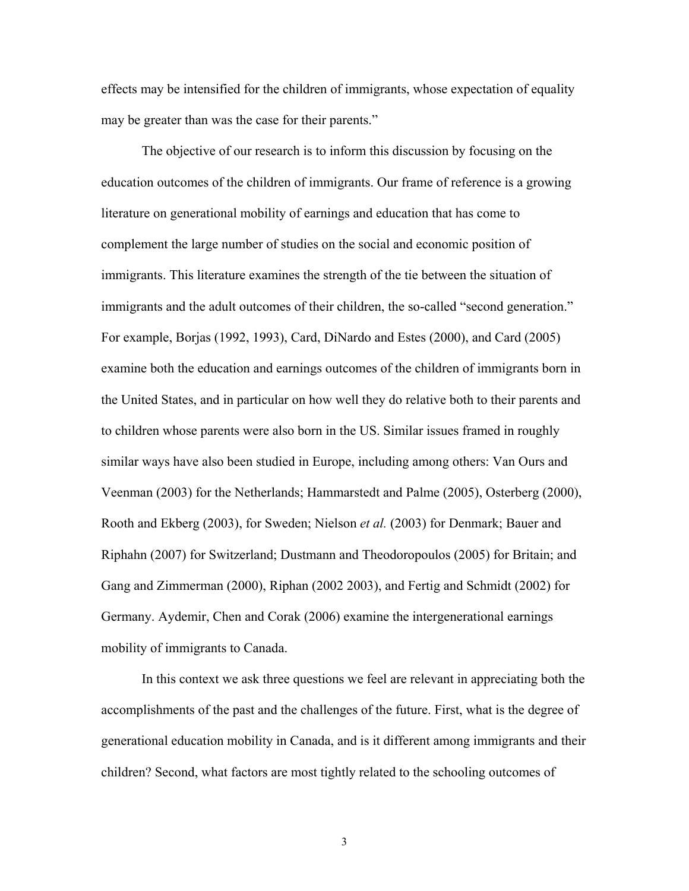effects may be intensified for the children of immigrants, whose expectation of equality may be greater than was the case for their parents."

The objective of our research is to inform this discussion by focusing on the education outcomes of the children of immigrants. Our frame of reference is a growing literature on generational mobility of earnings and education that has come to complement the large number of studies on the social and economic position of immigrants. This literature examines the strength of the tie between the situation of immigrants and the adult outcomes of their children, the so-called "second generation." For example, Borjas (1992, 1993), Card, DiNardo and Estes (2000), and Card (2005) examine both the education and earnings outcomes of the children of immigrants born in the United States, and in particular on how well they do relative both to their parents and to children whose parents were also born in the US. Similar issues framed in roughly similar ways have also been studied in Europe, including among others: Van Ours and Veenman (2003) for the Netherlands; Hammarstedt and Palme (2005), Osterberg (2000), Rooth and Ekberg (2003), for Sweden; Nielson *et al.* (2003) for Denmark; Bauer and Riphahn (2007) for Switzerland; Dustmann and Theodoropoulos (2005) for Britain; and Gang and Zimmerman (2000), Riphan (2002 2003), and Fertig and Schmidt (2002) for Germany. Aydemir, Chen and Corak (2006) examine the intergenerational earnings mobility of immigrants to Canada.

 In this context we ask three questions we feel are relevant in appreciating both the accomplishments of the past and the challenges of the future. First, what is the degree of generational education mobility in Canada, and is it different among immigrants and their children? Second, what factors are most tightly related to the schooling outcomes of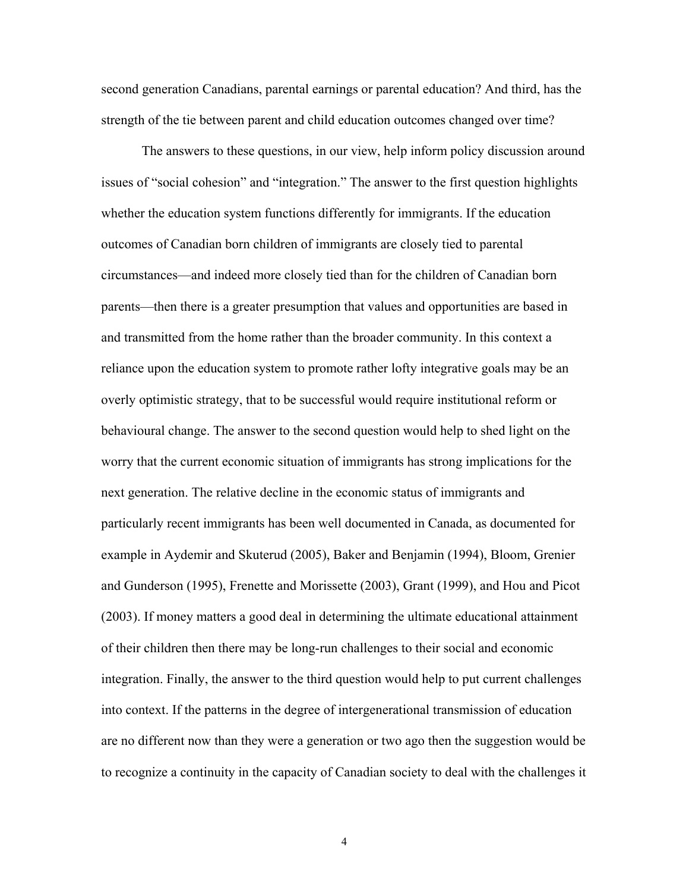second generation Canadians, parental earnings or parental education? And third, has the strength of the tie between parent and child education outcomes changed over time?

The answers to these questions, in our view, help inform policy discussion around issues of "social cohesion" and "integration." The answer to the first question highlights whether the education system functions differently for immigrants. If the education outcomes of Canadian born children of immigrants are closely tied to parental circumstances—and indeed more closely tied than for the children of Canadian born parents—then there is a greater presumption that values and opportunities are based in and transmitted from the home rather than the broader community. In this context a reliance upon the education system to promote rather lofty integrative goals may be an overly optimistic strategy, that to be successful would require institutional reform or behavioural change. The answer to the second question would help to shed light on the worry that the current economic situation of immigrants has strong implications for the next generation. The relative decline in the economic status of immigrants and particularly recent immigrants has been well documented in Canada, as documented for example in Aydemir and Skuterud (2005), Baker and Benjamin (1994), Bloom, Grenier and Gunderson (1995), Frenette and Morissette (2003), Grant (1999), and Hou and Picot (2003). If money matters a good deal in determining the ultimate educational attainment of their children then there may be long-run challenges to their social and economic integration. Finally, the answer to the third question would help to put current challenges into context. If the patterns in the degree of intergenerational transmission of education are no different now than they were a generation or two ago then the suggestion would be to recognize a continuity in the capacity of Canadian society to deal with the challenges it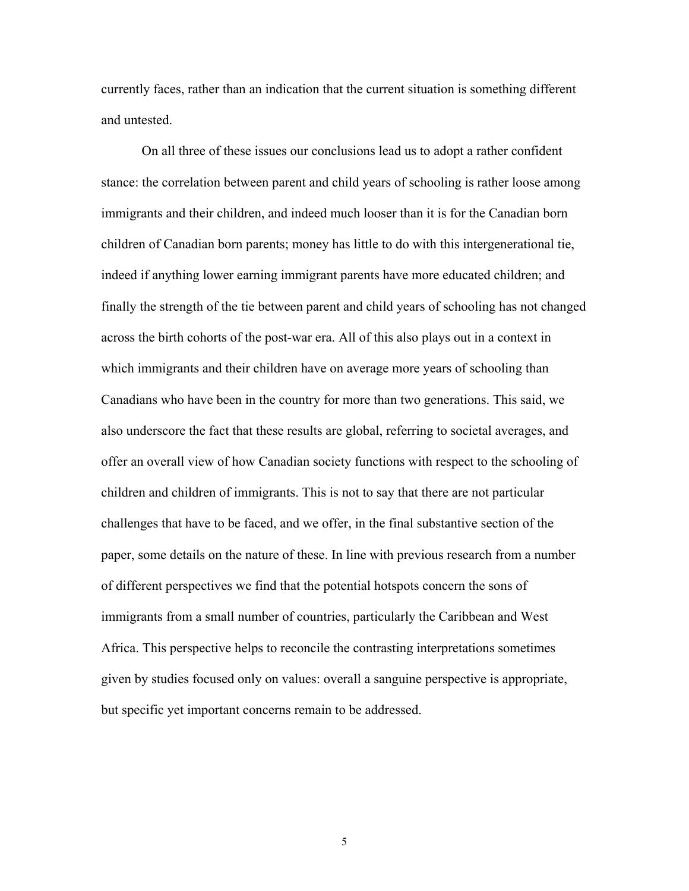currently faces, rather than an indication that the current situation is something different and untested.

On all three of these issues our conclusions lead us to adopt a rather confident stance: the correlation between parent and child years of schooling is rather loose among immigrants and their children, and indeed much looser than it is for the Canadian born children of Canadian born parents; money has little to do with this intergenerational tie, indeed if anything lower earning immigrant parents have more educated children; and finally the strength of the tie between parent and child years of schooling has not changed across the birth cohorts of the post-war era. All of this also plays out in a context in which immigrants and their children have on average more years of schooling than Canadians who have been in the country for more than two generations. This said, we also underscore the fact that these results are global, referring to societal averages, and offer an overall view of how Canadian society functions with respect to the schooling of children and children of immigrants. This is not to say that there are not particular challenges that have to be faced, and we offer, in the final substantive section of the paper, some details on the nature of these. In line with previous research from a number of different perspectives we find that the potential hotspots concern the sons of immigrants from a small number of countries, particularly the Caribbean and West Africa. This perspective helps to reconcile the contrasting interpretations sometimes given by studies focused only on values: overall a sanguine perspective is appropriate, but specific yet important concerns remain to be addressed.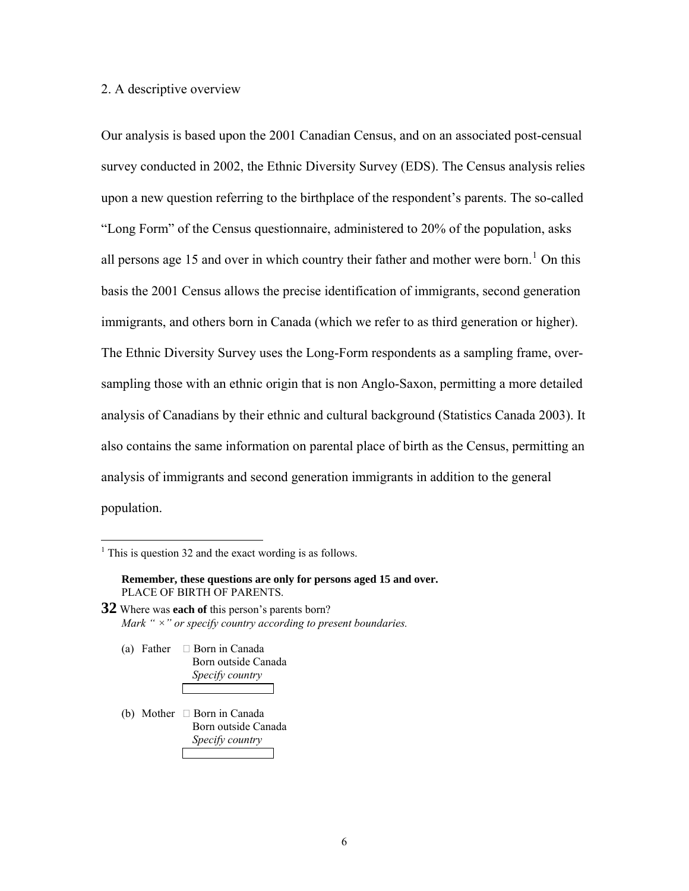#### <span id="page-6-0"></span>2. A descriptive overview

Our analysis is based upon the 2001 Canadian Census, and on an associated post-censual survey conducted in 2002, the Ethnic Diversity Survey (EDS). The Census analysis relies upon a new question referring to the birthplace of the respondent's parents. The so-called "Long Form" of the Census questionnaire, administered to 20% of the population, asks all persons age [1](#page-6-0)5 and over in which country their father and mother were born.<sup>1</sup> On this basis the 2001 Census allows the precise identification of immigrants, second generation immigrants, and others born in Canada (which we refer to as third generation or higher). The Ethnic Diversity Survey uses the Long-Form respondents as a sampling frame, oversampling those with an ethnic origin that is non Anglo-Saxon, permitting a more detailed analysis of Canadians by their ethnic and cultural background (Statistics Canada 2003). It also contains the same information on parental place of birth as the Census, permitting an analysis of immigrants and second generation immigrants in addition to the general population.

- **32** Where was **each of** this person's parents born? *Mark " ×" or specify country according to present boundaries.* 
	- (a) Father  $\Box$  Born in Canada Born outside Canada *Specify country*
	- (b) Mother  $\Box$  Born in Canada Born outside Canada *Specify country*

<sup>&</sup>lt;sup>1</sup> This is question 32 and the exact wording is as follows.

**Remember, these questions are only for persons aged 15 and over.**  PLACE OF BIRTH OF PARENTS.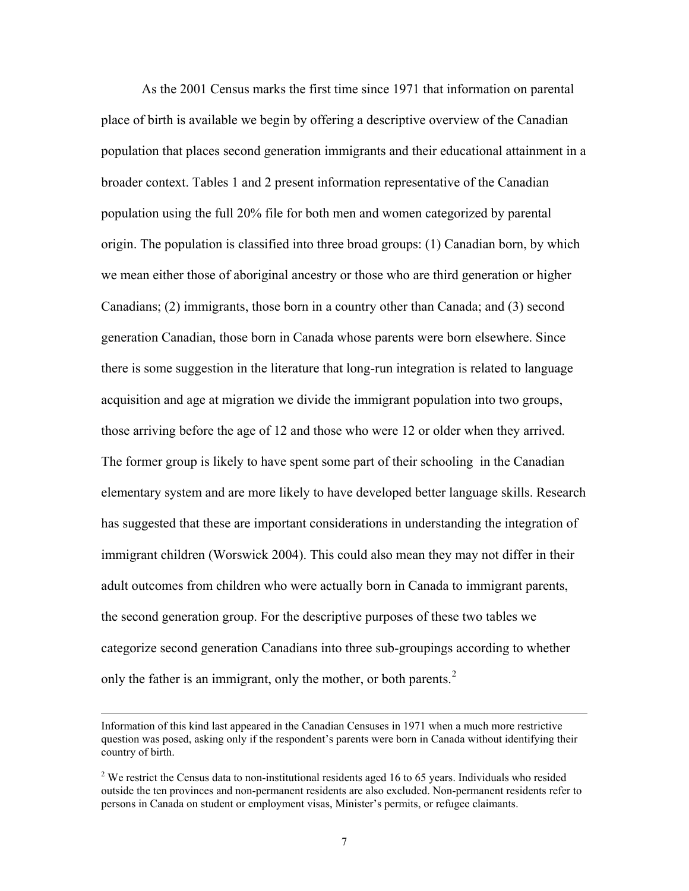<span id="page-7-0"></span>As the 2001 Census marks the first time since 1971 that information on parental place of birth is available we begin by offering a descriptive overview of the Canadian population that places second generation immigrants and their educational attainment in a broader context. Tables 1 and 2 present information representative of the Canadian population using the full 20% file for both men and women categorized by parental origin. The population is classified into three broad groups: (1) Canadian born, by which we mean either those of aboriginal ancestry or those who are third generation or higher Canadians; (2) immigrants, those born in a country other than Canada; and (3) second generation Canadian, those born in Canada whose parents were born elsewhere. Since there is some suggestion in the literature that long-run integration is related to language acquisition and age at migration we divide the immigrant population into two groups, those arriving before the age of 12 and those who were 12 or older when they arrived. The former group is likely to have spent some part of their schooling in the Canadian elementary system and are more likely to have developed better language skills. Research has suggested that these are important considerations in understanding the integration of immigrant children (Worswick 2004). This could also mean they may not differ in their adult outcomes from children who were actually born in Canada to immigrant parents, the second generation group. For the descriptive purposes of these two tables we categorize second generation Canadians into three sub-groupings according to whether only the father is an immigrant, only the mother, or both parents. $<sup>2</sup>$  $<sup>2</sup>$  $<sup>2</sup>$ </sup>

Information of this kind last appeared in the Canadian Censuses in 1971 when a much more restrictive question was posed, asking only if the respondent's parents were born in Canada without identifying their country of birth.

 $2$  We restrict the Census data to non-institutional residents aged 16 to 65 years. Individuals who resided outside the ten provinces and non-permanent residents are also excluded. Non-permanent residents refer to persons in Canada on student or employment visas, Minister's permits, or refugee claimants.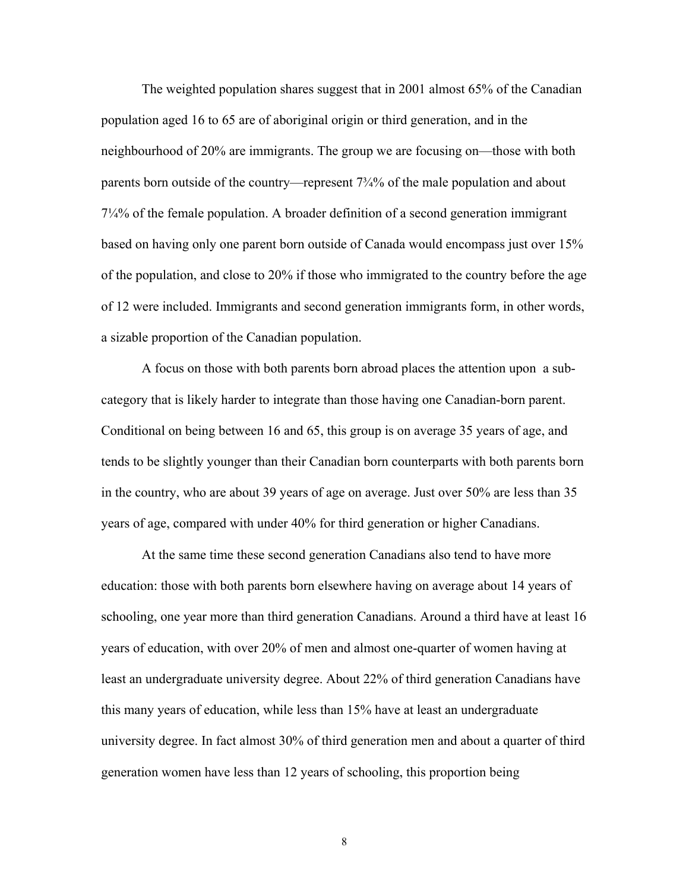The weighted population shares suggest that in 2001 almost 65% of the Canadian population aged 16 to 65 are of aboriginal origin or third generation, and in the neighbourhood of 20% are immigrants. The group we are focusing on—those with both parents born outside of the country—represent 7<sup>3</sup>/<sub>4</sub>% of the male population and about 7¼% of the female population. A broader definition of a second generation immigrant based on having only one parent born outside of Canada would encompass just over 15% of the population, and close to 20% if those who immigrated to the country before the age of 12 were included. Immigrants and second generation immigrants form, in other words, a sizable proportion of the Canadian population.

A focus on those with both parents born abroad places the attention upon a subcategory that is likely harder to integrate than those having one Canadian-born parent. Conditional on being between 16 and 65, this group is on average 35 years of age, and tends to be slightly younger than their Canadian born counterparts with both parents born in the country, who are about 39 years of age on average. Just over 50% are less than 35 years of age, compared with under 40% for third generation or higher Canadians.

At the same time these second generation Canadians also tend to have more education: those with both parents born elsewhere having on average about 14 years of schooling, one year more than third generation Canadians. Around a third have at least 16 years of education, with over 20% of men and almost one-quarter of women having at least an undergraduate university degree. About 22% of third generation Canadians have this many years of education, while less than 15% have at least an undergraduate university degree. In fact almost 30% of third generation men and about a quarter of third generation women have less than 12 years of schooling, this proportion being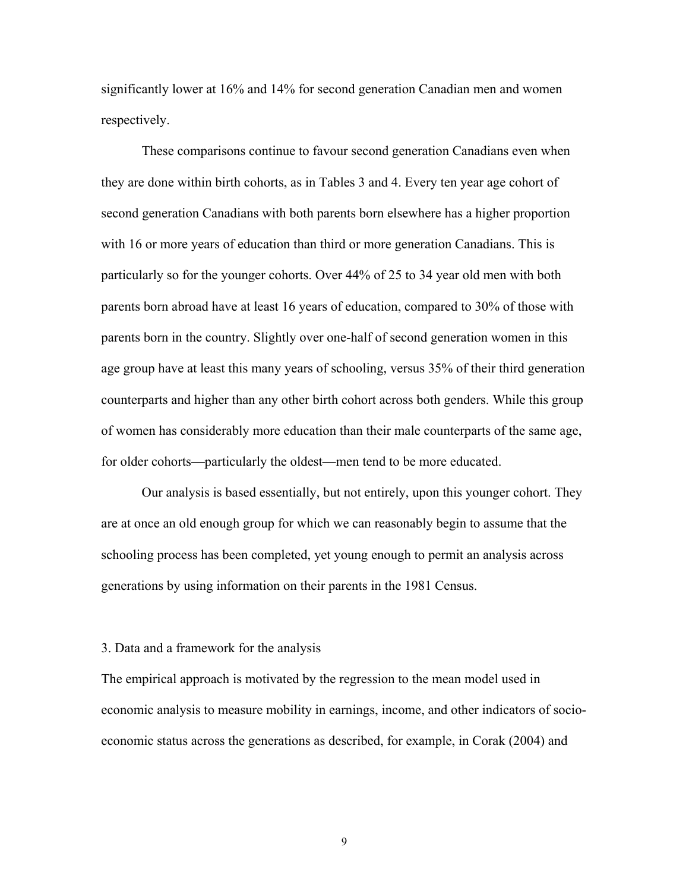significantly lower at 16% and 14% for second generation Canadian men and women respectively.

These comparisons continue to favour second generation Canadians even when they are done within birth cohorts, as in Tables 3 and 4. Every ten year age cohort of second generation Canadians with both parents born elsewhere has a higher proportion with 16 or more years of education than third or more generation Canadians. This is particularly so for the younger cohorts. Over 44% of 25 to 34 year old men with both parents born abroad have at least 16 years of education, compared to 30% of those with parents born in the country. Slightly over one-half of second generation women in this age group have at least this many years of schooling, versus 35% of their third generation counterparts and higher than any other birth cohort across both genders. While this group of women has considerably more education than their male counterparts of the same age, for older cohorts—particularly the oldest—men tend to be more educated.

Our analysis is based essentially, but not entirely, upon this younger cohort. They are at once an old enough group for which we can reasonably begin to assume that the schooling process has been completed, yet young enough to permit an analysis across generations by using information on their parents in the 1981 Census.

#### 3. Data and a framework for the analysis

The empirical approach is motivated by the regression to the mean model used in economic analysis to measure mobility in earnings, income, and other indicators of socioeconomic status across the generations as described, for example, in Corak (2004) and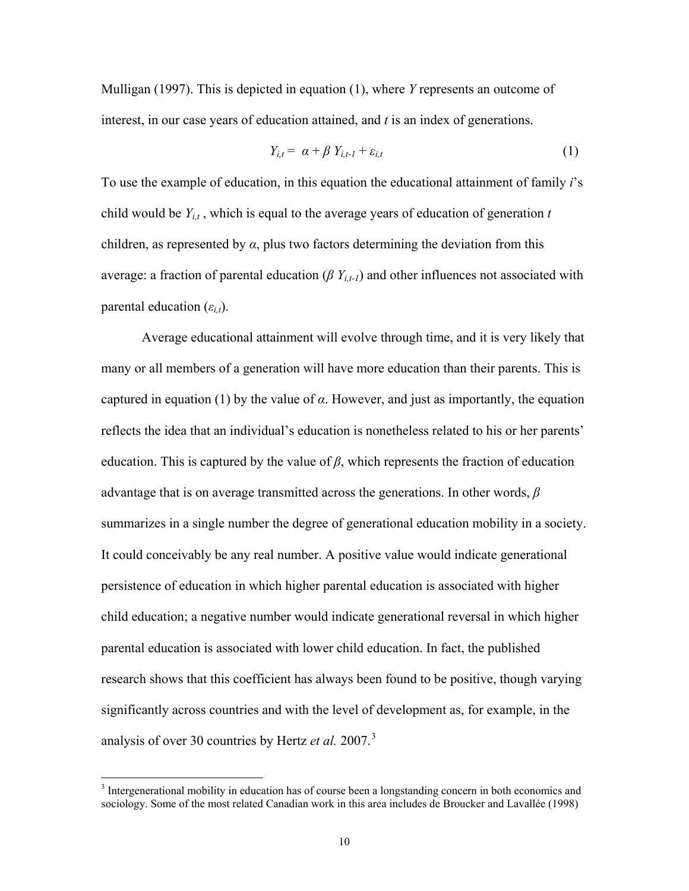<span id="page-10-0"></span>Mulligan (1997). This is depicted in equation (1), where *Y* represents an outcome of interest, in our case years of education attained, and *t* is an index of generations.

$$
Y_{i,t} = \alpha + \beta Y_{i,t-1} + \varepsilon_{i,t} \tag{1}
$$

To use the example of education, in this equation the educational attainment of family *i*'s child would be  $Y_{it}$ , which is equal to the average years of education of generation  $t$ children, as represented by  $\alpha$ , plus two factors determining the deviation from this average: a fraction of parental education ( $\beta Y_{i,t-1}$ ) and other influences not associated with parental education  $(\varepsilon_{i,t})$ .

Average educational attainment will evolve through time, and it is very likely that many or all members of a generation will have more education than their parents. This is captured in equation (1) by the value of  $\alpha$ . However, and just as importantly, the equation reflects the idea that an individual's education is nonetheless related to his or her parents' education. This is captured by the value of *β*, which represents the fraction of education advantage that is on average transmitted across the generations. In other words, *β* summarizes in a single number the degree of generational education mobility in a society. It could conceivably be any real number. A positive value would indicate generational persistence of education in which higher parental education is associated with higher child education; a negative number would indicate generational reversal in which higher parental education is associated with lower child education. In fact, the published research shows that this coefficient has always been found to be positive, though varying significantly across countries and with the level of development as, for example, in the analysis of over 30 countries by Hertz *et al.* 2007.[3](#page-10-0)

<sup>&</sup>lt;sup>3</sup> Intergenerational mobility in education has of course been a longstanding concern in both economics and sociology. Some of the most related Canadian work in this area includes de Broucker and Lavallée (1998)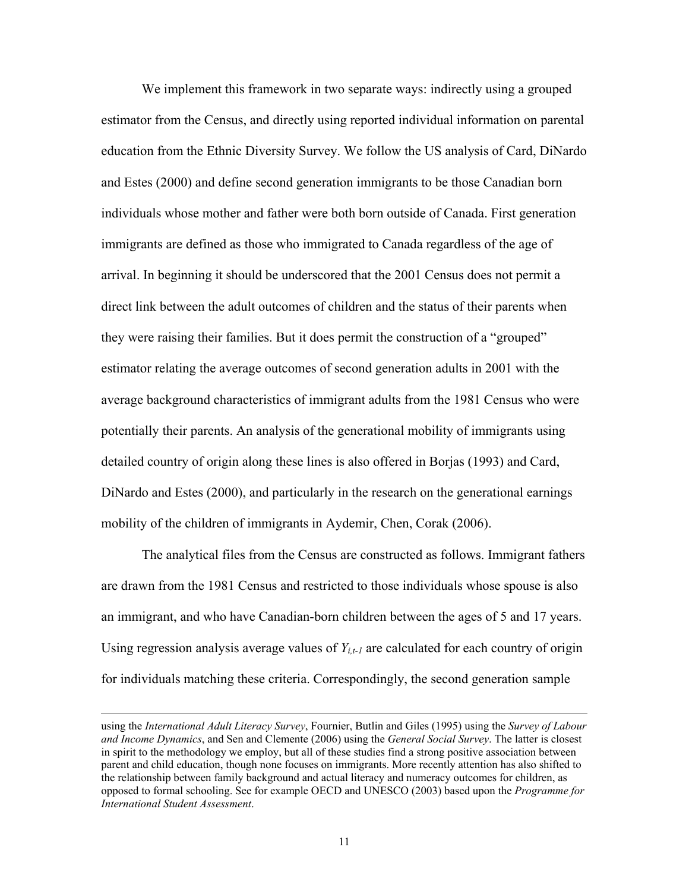We implement this framework in two separate ways: indirectly using a grouped estimator from the Census, and directly using reported individual information on parental education from the Ethnic Diversity Survey. We follow the US analysis of Card, DiNardo and Estes (2000) and define second generation immigrants to be those Canadian born individuals whose mother and father were both born outside of Canada. First generation immigrants are defined as those who immigrated to Canada regardless of the age of arrival. In beginning it should be underscored that the 2001 Census does not permit a direct link between the adult outcomes of children and the status of their parents when they were raising their families. But it does permit the construction of a "grouped" estimator relating the average outcomes of second generation adults in 2001 with the average background characteristics of immigrant adults from the 1981 Census who were potentially their parents. An analysis of the generational mobility of immigrants using detailed country of origin along these lines is also offered in Borjas (1993) and Card, DiNardo and Estes (2000), and particularly in the research on the generational earnings mobility of the children of immigrants in Aydemir, Chen, Corak (2006).

The analytical files from the Census are constructed as follows. Immigrant fathers are drawn from the 1981 Census and restricted to those individuals whose spouse is also an immigrant, and who have Canadian-born children between the ages of 5 and 17 years. Using regression analysis average values of  $Y_{i,t-1}$  are calculated for each country of origin for individuals matching these criteria. Correspondingly, the second generation sample

using the *International Adult Literacy Survey*, Fournier, Butlin and Giles (1995) using the *Survey of Labour and Income Dynamics*, and Sen and Clemente (2006) using the *General Social Survey*. The latter is closest in spirit to the methodology we employ, but all of these studies find a strong positive association between parent and child education, though none focuses on immigrants. More recently attention has also shifted to the relationship between family background and actual literacy and numeracy outcomes for children, as opposed to formal schooling. See for example OECD and UNESCO (2003) based upon the *Programme for International Student Assessment*.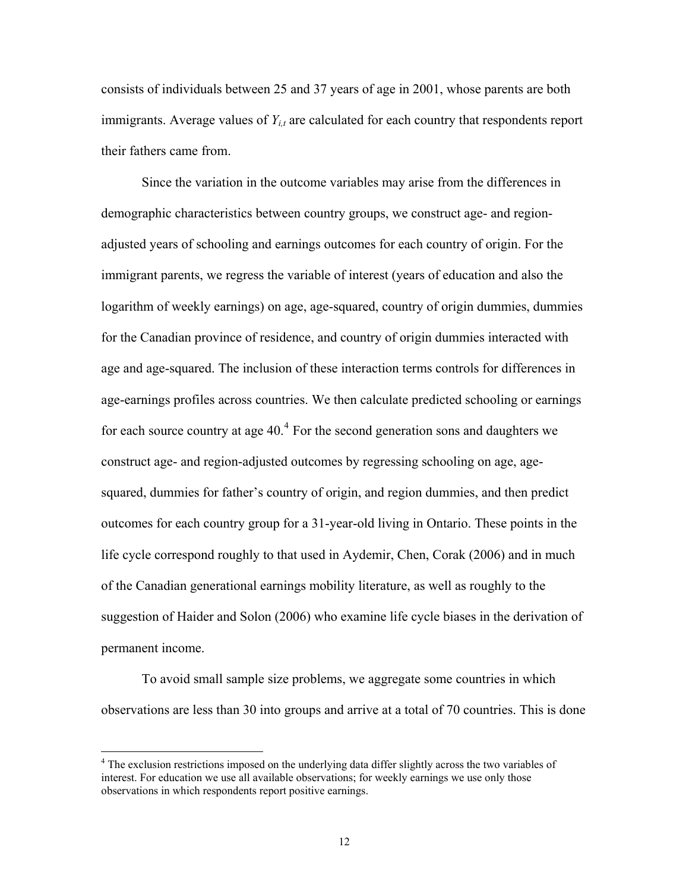<span id="page-12-0"></span>consists of individuals between 25 and 37 years of age in 2001, whose parents are both immigrants. Average values of  $Y_{i,t}$  are calculated for each country that respondents report their fathers came from.

Since the variation in the outcome variables may arise from the differences in demographic characteristics between country groups, we construct age- and regionadjusted years of schooling and earnings outcomes for each country of origin. For the immigrant parents, we regress the variable of interest (years of education and also the logarithm of weekly earnings) on age, age-squared, country of origin dummies, dummies for the Canadian province of residence, and country of origin dummies interacted with age and age-squared. The inclusion of these interaction terms controls for differences in age-earnings profiles across countries. We then calculate predicted schooling or earnings for each source country at age  $40<sup>4</sup>$  $40<sup>4</sup>$  For the second generation sons and daughters we construct age- and region-adjusted outcomes by regressing schooling on age, agesquared, dummies for father's country of origin, and region dummies, and then predict outcomes for each country group for a 31-year-old living in Ontario. These points in the life cycle correspond roughly to that used in Aydemir, Chen, Corak (2006) and in much of the Canadian generational earnings mobility literature, as well as roughly to the suggestion of Haider and Solon (2006) who examine life cycle biases in the derivation of permanent income.

To avoid small sample size problems, we aggregate some countries in which observations are less than 30 into groups and arrive at a total of 70 countries. This is done

 $\overline{a}$ 

<sup>&</sup>lt;sup>4</sup> The exclusion restrictions imposed on the underlying data differ slightly across the two variables of interest. For education we use all available observations; for weekly earnings we use only those observations in which respondents report positive earnings.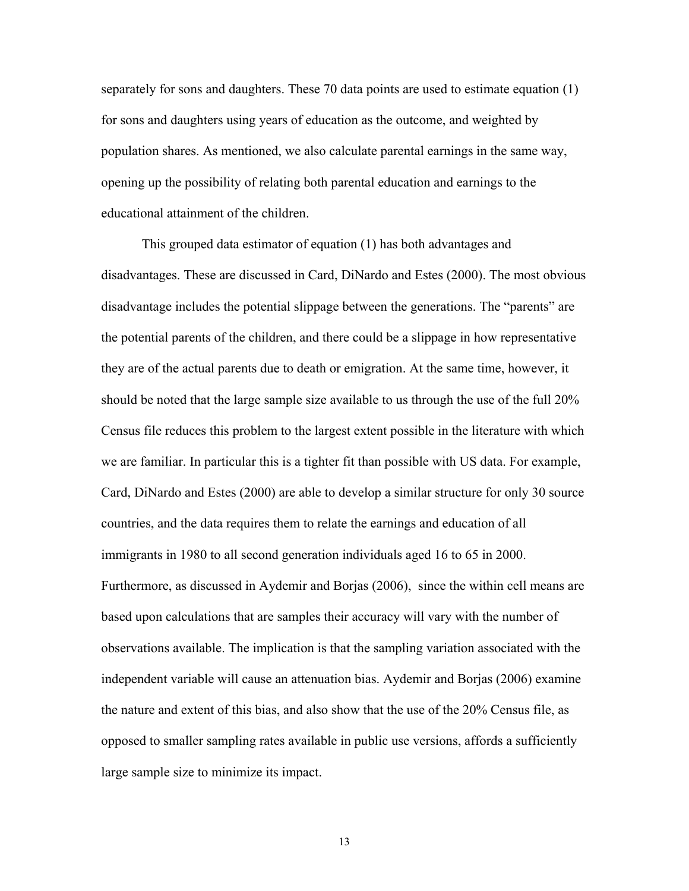separately for sons and daughters. These 70 data points are used to estimate equation (1) for sons and daughters using years of education as the outcome, and weighted by population shares. As mentioned, we also calculate parental earnings in the same way, opening up the possibility of relating both parental education and earnings to the educational attainment of the children.

This grouped data estimator of equation (1) has both advantages and disadvantages. These are discussed in Card, DiNardo and Estes (2000). The most obvious disadvantage includes the potential slippage between the generations. The "parents" are the potential parents of the children, and there could be a slippage in how representative they are of the actual parents due to death or emigration. At the same time, however, it should be noted that the large sample size available to us through the use of the full 20% Census file reduces this problem to the largest extent possible in the literature with which we are familiar. In particular this is a tighter fit than possible with US data. For example, Card, DiNardo and Estes (2000) are able to develop a similar structure for only 30 source countries, and the data requires them to relate the earnings and education of all immigrants in 1980 to all second generation individuals aged 16 to 65 in 2000. Furthermore, as discussed in Aydemir and Borjas (2006), since the within cell means are based upon calculations that are samples their accuracy will vary with the number of observations available. The implication is that the sampling variation associated with the independent variable will cause an attenuation bias. Aydemir and Borjas (2006) examine the nature and extent of this bias, and also show that the use of the 20% Census file, as opposed to smaller sampling rates available in public use versions, affords a sufficiently large sample size to minimize its impact.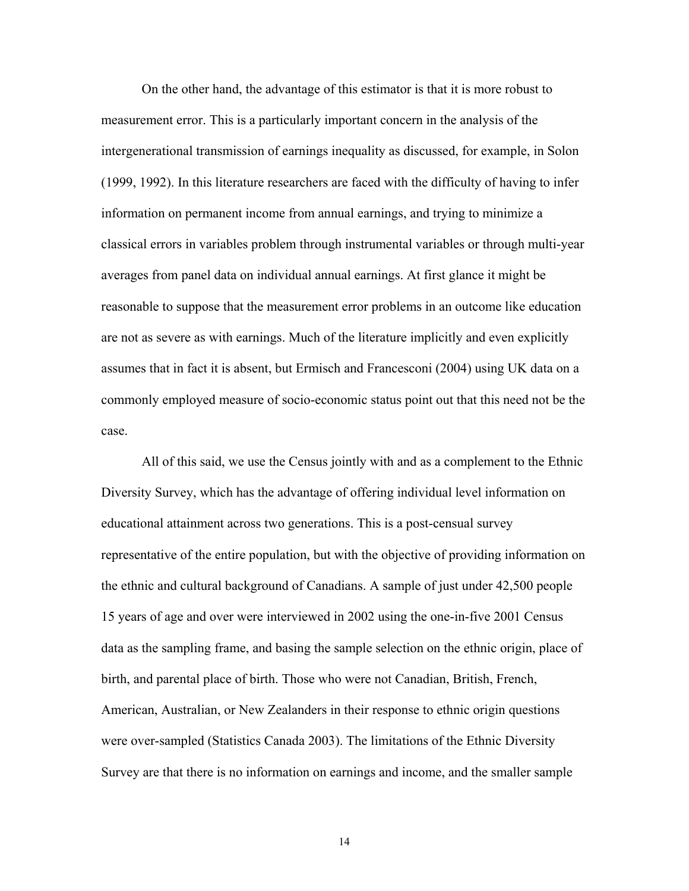On the other hand, the advantage of this estimator is that it is more robust to measurement error. This is a particularly important concern in the analysis of the intergenerational transmission of earnings inequality as discussed, for example, in Solon (1999, 1992). In this literature researchers are faced with the difficulty of having to infer information on permanent income from annual earnings, and trying to minimize a classical errors in variables problem through instrumental variables or through multi-year averages from panel data on individual annual earnings. At first glance it might be reasonable to suppose that the measurement error problems in an outcome like education are not as severe as with earnings. Much of the literature implicitly and even explicitly assumes that in fact it is absent, but Ermisch and Francesconi (2004) using UK data on a commonly employed measure of socio-economic status point out that this need not be the case.

All of this said, we use the Census jointly with and as a complement to the Ethnic Diversity Survey, which has the advantage of offering individual level information on educational attainment across two generations. This is a post-censual survey representative of the entire population, but with the objective of providing information on the ethnic and cultural background of Canadians. A sample of just under 42,500 people 15 years of age and over were interviewed in 2002 using the one-in-five 2001 Census data as the sampling frame, and basing the sample selection on the ethnic origin, place of birth, and parental place of birth. Those who were not Canadian, British, French, American, Australian, or New Zealanders in their response to ethnic origin questions were over-sampled (Statistics Canada 2003). The limitations of the Ethnic Diversity Survey are that there is no information on earnings and income, and the smaller sample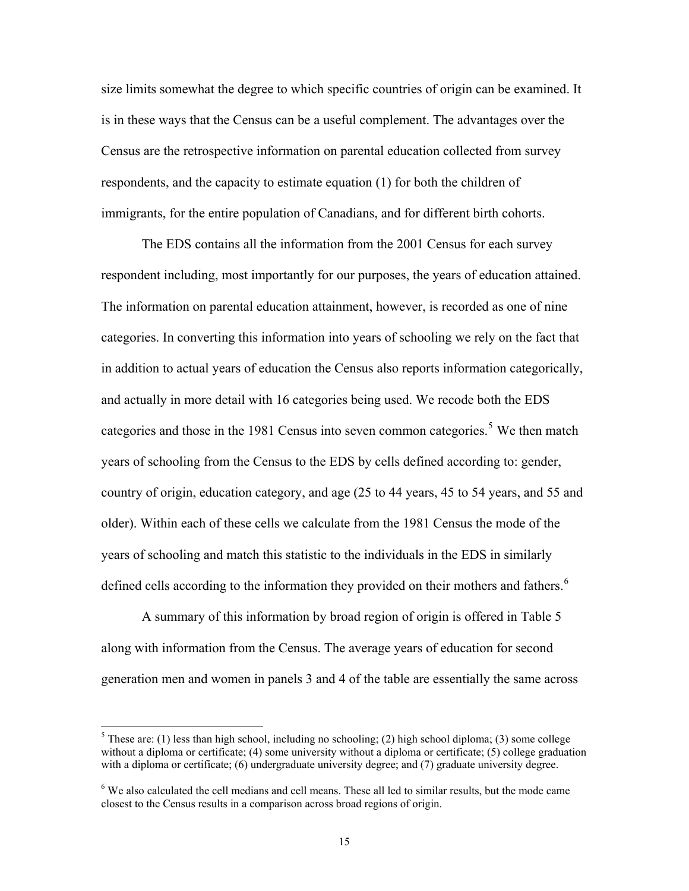<span id="page-15-0"></span>size limits somewhat the degree to which specific countries of origin can be examined. It is in these ways that the Census can be a useful complement. The advantages over the Census are the retrospective information on parental education collected from survey respondents, and the capacity to estimate equation (1) for both the children of immigrants, for the entire population of Canadians, and for different birth cohorts.

The EDS contains all the information from the 2001 Census for each survey respondent including, most importantly for our purposes, the years of education attained. The information on parental education attainment, however, is recorded as one of nine categories. In converting this information into years of schooling we rely on the fact that in addition to actual years of education the Census also reports information categorically, and actually in more detail with 16 categories being used. We recode both the EDS categories and those in the 1981 Census into seven common categories.<sup>[5](#page-15-0)</sup> We then match years of schooling from the Census to the EDS by cells defined according to: gender, country of origin, education category, and age (25 to 44 years, 45 to 54 years, and 55 and older). Within each of these cells we calculate from the 1981 Census the mode of the years of schooling and match this statistic to the individuals in the EDS in similarly defined cells according to the information they provided on their mothers and fathers.<sup>[6](#page-15-0)</sup>

A summary of this information by broad region of origin is offered in Table 5 along with information from the Census. The average years of education for second generation men and women in panels 3 and 4 of the table are essentially the same across

 $\overline{a}$ 

<sup>&</sup>lt;sup>5</sup> These are: (1) less than high school, including no schooling; (2) high school diploma; (3) some college without a diploma or certificate; (4) some university without a diploma or certificate; (5) college graduation with a diploma or certificate; (6) undergraduate university degree; and (7) graduate university degree.

<sup>&</sup>lt;sup>6</sup> We also calculated the cell medians and cell means. These all led to similar results, but the mode came closest to the Census results in a comparison across broad regions of origin.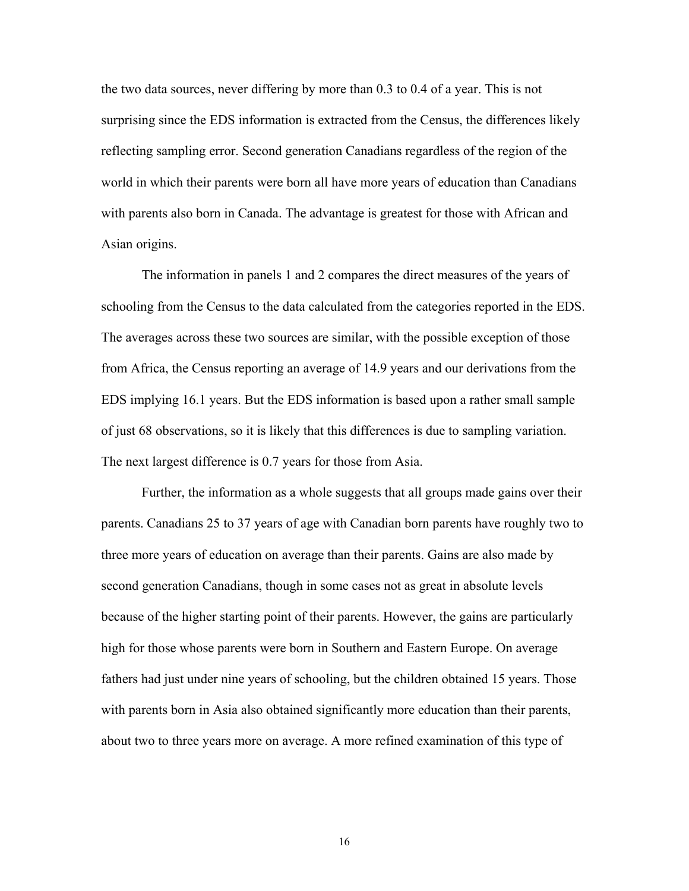the two data sources, never differing by more than 0.3 to 0.4 of a year. This is not surprising since the EDS information is extracted from the Census, the differences likely reflecting sampling error. Second generation Canadians regardless of the region of the world in which their parents were born all have more years of education than Canadians with parents also born in Canada. The advantage is greatest for those with African and Asian origins.

The information in panels 1 and 2 compares the direct measures of the years of schooling from the Census to the data calculated from the categories reported in the EDS. The averages across these two sources are similar, with the possible exception of those from Africa, the Census reporting an average of 14.9 years and our derivations from the EDS implying 16.1 years. But the EDS information is based upon a rather small sample of just 68 observations, so it is likely that this differences is due to sampling variation. The next largest difference is 0.7 years for those from Asia.

Further, the information as a whole suggests that all groups made gains over their parents. Canadians 25 to 37 years of age with Canadian born parents have roughly two to three more years of education on average than their parents. Gains are also made by second generation Canadians, though in some cases not as great in absolute levels because of the higher starting point of their parents. However, the gains are particularly high for those whose parents were born in Southern and Eastern Europe. On average fathers had just under nine years of schooling, but the children obtained 15 years. Those with parents born in Asia also obtained significantly more education than their parents, about two to three years more on average. A more refined examination of this type of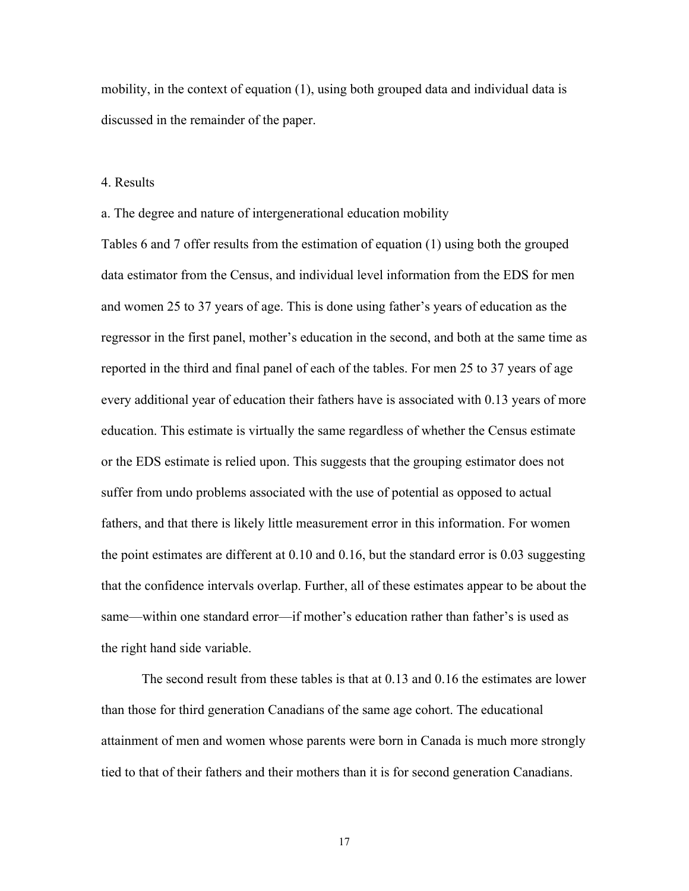mobility, in the context of equation (1), using both grouped data and individual data is discussed in the remainder of the paper.

#### 4. Results

a. The degree and nature of intergenerational education mobility

Tables 6 and 7 offer results from the estimation of equation (1) using both the grouped data estimator from the Census, and individual level information from the EDS for men and women 25 to 37 years of age. This is done using father's years of education as the regressor in the first panel, mother's education in the second, and both at the same time as reported in the third and final panel of each of the tables. For men 25 to 37 years of age every additional year of education their fathers have is associated with 0.13 years of more education. This estimate is virtually the same regardless of whether the Census estimate or the EDS estimate is relied upon. This suggests that the grouping estimator does not suffer from undo problems associated with the use of potential as opposed to actual fathers, and that there is likely little measurement error in this information. For women the point estimates are different at 0.10 and 0.16, but the standard error is 0.03 suggesting that the confidence intervals overlap. Further, all of these estimates appear to be about the same—within one standard error—if mother's education rather than father's is used as the right hand side variable.

 The second result from these tables is that at 0.13 and 0.16 the estimates are lower than those for third generation Canadians of the same age cohort. The educational attainment of men and women whose parents were born in Canada is much more strongly tied to that of their fathers and their mothers than it is for second generation Canadians.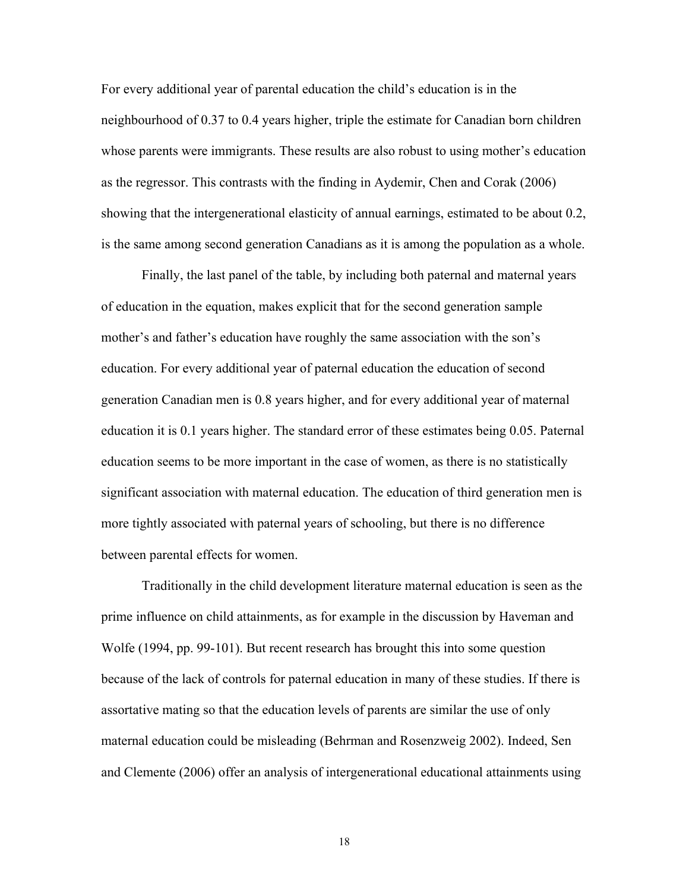For every additional year of parental education the child's education is in the neighbourhood of 0.37 to 0.4 years higher, triple the estimate for Canadian born children whose parents were immigrants. These results are also robust to using mother's education as the regressor. This contrasts with the finding in Aydemir, Chen and Corak (2006) showing that the intergenerational elasticity of annual earnings, estimated to be about 0.2, is the same among second generation Canadians as it is among the population as a whole.

 Finally, the last panel of the table, by including both paternal and maternal years of education in the equation, makes explicit that for the second generation sample mother's and father's education have roughly the same association with the son's education. For every additional year of paternal education the education of second generation Canadian men is 0.8 years higher, and for every additional year of maternal education it is 0.1 years higher. The standard error of these estimates being 0.05. Paternal education seems to be more important in the case of women, as there is no statistically significant association with maternal education. The education of third generation men is more tightly associated with paternal years of schooling, but there is no difference between parental effects for women.

 Traditionally in the child development literature maternal education is seen as the prime influence on child attainments, as for example in the discussion by Haveman and Wolfe (1994, pp. 99-101). But recent research has brought this into some question because of the lack of controls for paternal education in many of these studies. If there is assortative mating so that the education levels of parents are similar the use of only maternal education could be misleading (Behrman and Rosenzweig 2002). Indeed, Sen and Clemente (2006) offer an analysis of intergenerational educational attainments using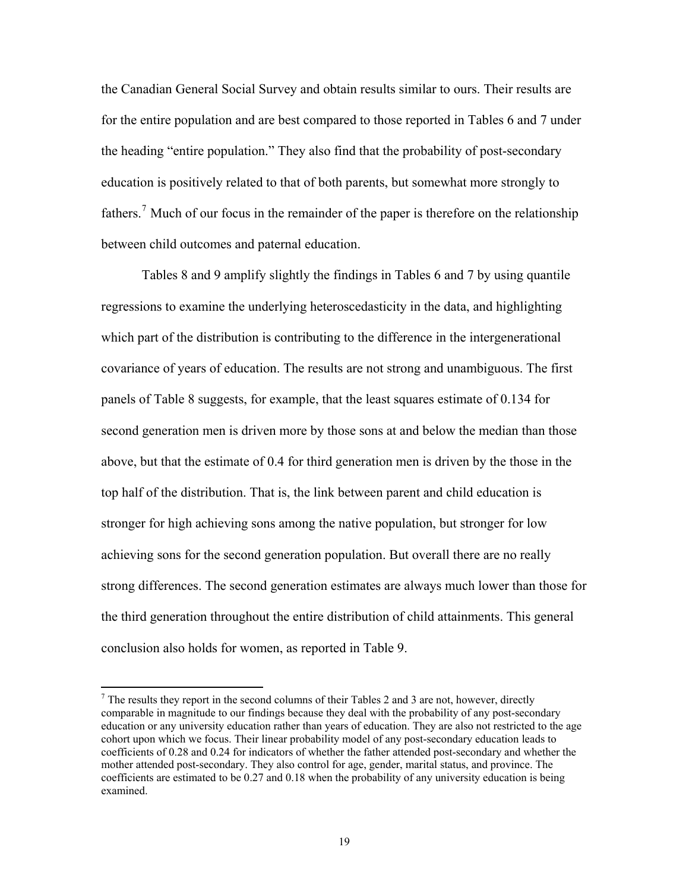<span id="page-19-0"></span>the Canadian General Social Survey and obtain results similar to ours. Their results are for the entire population and are best compared to those reported in Tables 6 and 7 under the heading "entire population." They also find that the probability of post-secondary education is positively related to that of both parents, but somewhat more strongly to fathers.<sup>[7](#page-19-0)</sup> Much of our focus in the remainder of the paper is therefore on the relationship between child outcomes and paternal education.

Tables 8 and 9 amplify slightly the findings in Tables 6 and 7 by using quantile regressions to examine the underlying heteroscedasticity in the data, and highlighting which part of the distribution is contributing to the difference in the intergenerational covariance of years of education. The results are not strong and unambiguous. The first panels of Table 8 suggests, for example, that the least squares estimate of 0.134 for second generation men is driven more by those sons at and below the median than those above, but that the estimate of 0.4 for third generation men is driven by the those in the top half of the distribution. That is, the link between parent and child education is stronger for high achieving sons among the native population, but stronger for low achieving sons for the second generation population. But overall there are no really strong differences. The second generation estimates are always much lower than those for the third generation throughout the entire distribution of child attainments. This general conclusion also holds for women, as reported in Table 9.

 $\overline{a}$ 

 $<sup>7</sup>$  The results they report in the second columns of their Tables 2 and 3 are not, however, directly</sup> comparable in magnitude to our findings because they deal with the probability of any post-secondary education or any university education rather than years of education. They are also not restricted to the age cohort upon which we focus. Their linear probability model of any post-secondary education leads to coefficients of 0.28 and 0.24 for indicators of whether the father attended post-secondary and whether the mother attended post-secondary. They also control for age, gender, marital status, and province. The coefficients are estimated to be 0.27 and 0.18 when the probability of any university education is being examined.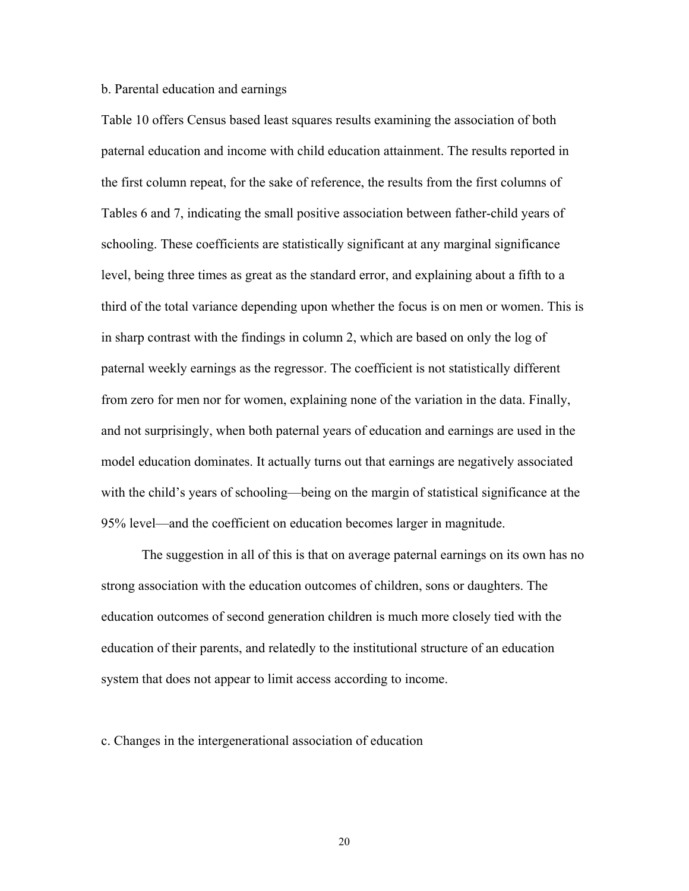# b. Parental education and earnings

Table 10 offers Census based least squares results examining the association of both paternal education and income with child education attainment. The results reported in the first column repeat, for the sake of reference, the results from the first columns of Tables 6 and 7, indicating the small positive association between father-child years of schooling. These coefficients are statistically significant at any marginal significance level, being three times as great as the standard error, and explaining about a fifth to a third of the total variance depending upon whether the focus is on men or women. This is in sharp contrast with the findings in column 2, which are based on only the log of paternal weekly earnings as the regressor. The coefficient is not statistically different from zero for men nor for women, explaining none of the variation in the data. Finally, and not surprisingly, when both paternal years of education and earnings are used in the model education dominates. It actually turns out that earnings are negatively associated with the child's years of schooling—being on the margin of statistical significance at the 95% level—and the coefficient on education becomes larger in magnitude.

 The suggestion in all of this is that on average paternal earnings on its own has no strong association with the education outcomes of children, sons or daughters. The education outcomes of second generation children is much more closely tied with the education of their parents, and relatedly to the institutional structure of an education system that does not appear to limit access according to income.

c. Changes in the intergenerational association of education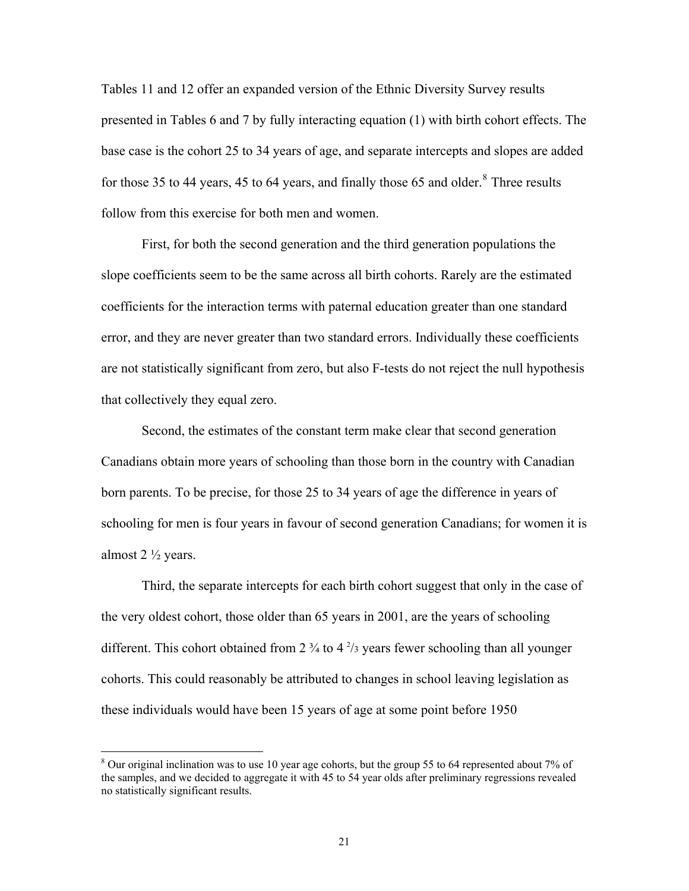<span id="page-21-0"></span>Tables 11 and 12 offer an expanded version of the Ethnic Diversity Survey results presented in Tables 6 and 7 by fully interacting equation (1) with birth cohort effects. The base case is the cohort 25 to 34 years of age, and separate intercepts and slopes are added for those 35 to 44 years, 45 to 64 years, and finally those 65 and older. $8$  Three results follow from this exercise for both men and women.

 First, for both the second generation and the third generation populations the slope coefficients seem to be the same across all birth cohorts. Rarely are the estimated coefficients for the interaction terms with paternal education greater than one standard error, and they are never greater than two standard errors. Individually these coefficients are not statistically significant from zero, but also F-tests do not reject the null hypothesis that collectively they equal zero.

 Second, the estimates of the constant term make clear that second generation Canadians obtain more years of schooling than those born in the country with Canadian born parents. To be precise, for those 25 to 34 years of age the difference in years of schooling for men is four years in favour of second generation Canadians; for women it is almost  $2 \frac{1}{2}$  years.

 Third, the separate intercepts for each birth cohort suggest that only in the case of the very oldest cohort, those older than 65 years in 2001, are the years of schooling different. This cohort obtained from  $2 \frac{3}{4}$  to  $4 \frac{2}{3}$  years fewer schooling than all younger cohorts. This could reasonably be attributed to changes in school leaving legislation as these individuals would have been 15 years of age at some point before 1950

 $\overline{a}$ 

 $8$  Our original inclination was to use 10 year age cohorts, but the group 55 to 64 represented about 7% of the samples, and we decided to aggregate it with 45 to 54 year olds after preliminary regressions revealed no statistically significant results.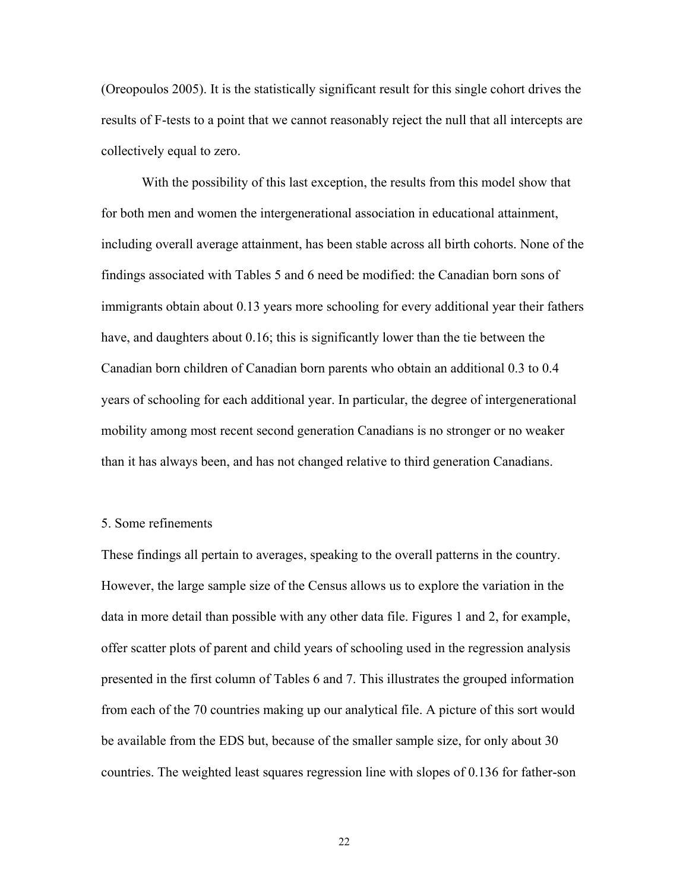(Oreopoulos 2005). It is the statistically significant result for this single cohort drives the results of F-tests to a point that we cannot reasonably reject the null that all intercepts are collectively equal to zero.

 With the possibility of this last exception, the results from this model show that for both men and women the intergenerational association in educational attainment, including overall average attainment, has been stable across all birth cohorts. None of the findings associated with Tables 5 and 6 need be modified: the Canadian born sons of immigrants obtain about 0.13 years more schooling for every additional year their fathers have, and daughters about 0.16; this is significantly lower than the tie between the Canadian born children of Canadian born parents who obtain an additional 0.3 to 0.4 years of schooling for each additional year. In particular, the degree of intergenerational mobility among most recent second generation Canadians is no stronger or no weaker than it has always been, and has not changed relative to third generation Canadians.

#### 5. Some refinements

These findings all pertain to averages, speaking to the overall patterns in the country. However, the large sample size of the Census allows us to explore the variation in the data in more detail than possible with any other data file. Figures 1 and 2, for example, offer scatter plots of parent and child years of schooling used in the regression analysis presented in the first column of Tables 6 and 7. This illustrates the grouped information from each of the 70 countries making up our analytical file. A picture of this sort would be available from the EDS but, because of the smaller sample size, for only about 30 countries. The weighted least squares regression line with slopes of 0.136 for father-son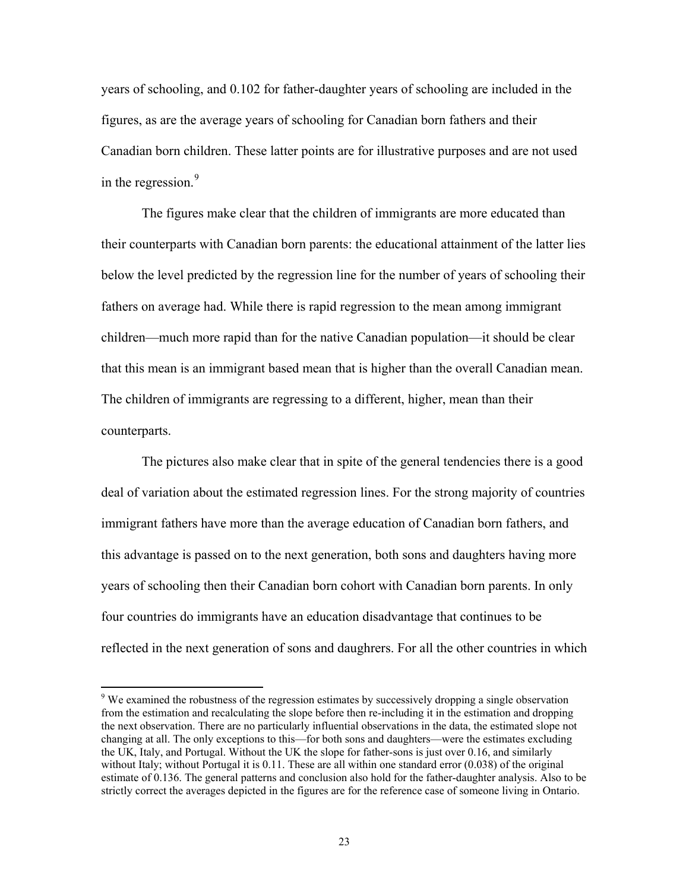<span id="page-23-0"></span>years of schooling, and 0.102 for father-daughter years of schooling are included in the figures, as are the average years of schooling for Canadian born fathers and their Canadian born children. These latter points are for illustrative purposes and are not used in the regression. $9$ 

The figures make clear that the children of immigrants are more educated than their counterparts with Canadian born parents: the educational attainment of the latter lies below the level predicted by the regression line for the number of years of schooling their fathers on average had. While there is rapid regression to the mean among immigrant children—much more rapid than for the native Canadian population—it should be clear that this mean is an immigrant based mean that is higher than the overall Canadian mean. The children of immigrants are regressing to a different, higher, mean than their counterparts.

The pictures also make clear that in spite of the general tendencies there is a good deal of variation about the estimated regression lines. For the strong majority of countries immigrant fathers have more than the average education of Canadian born fathers, and this advantage is passed on to the next generation, both sons and daughters having more years of schooling then their Canadian born cohort with Canadian born parents. In only four countries do immigrants have an education disadvantage that continues to be reflected in the next generation of sons and daughrers. For all the other countries in which

 $\overline{a}$ 

<sup>&</sup>lt;sup>9</sup> We examined the robustness of the regression estimates by successively dropping a single observation from the estimation and recalculating the slope before then re-including it in the estimation and dropping the next observation. There are no particularly influential observations in the data, the estimated slope not changing at all. The only exceptions to this—for both sons and daughters—were the estimates excluding the UK, Italy, and Portugal. Without the UK the slope for father-sons is just over 0.16, and similarly without Italy; without Portugal it is 0.11. These are all within one standard error (0.038) of the original estimate of 0.136. The general patterns and conclusion also hold for the father-daughter analysis. Also to be strictly correct the averages depicted in the figures are for the reference case of someone living in Ontario.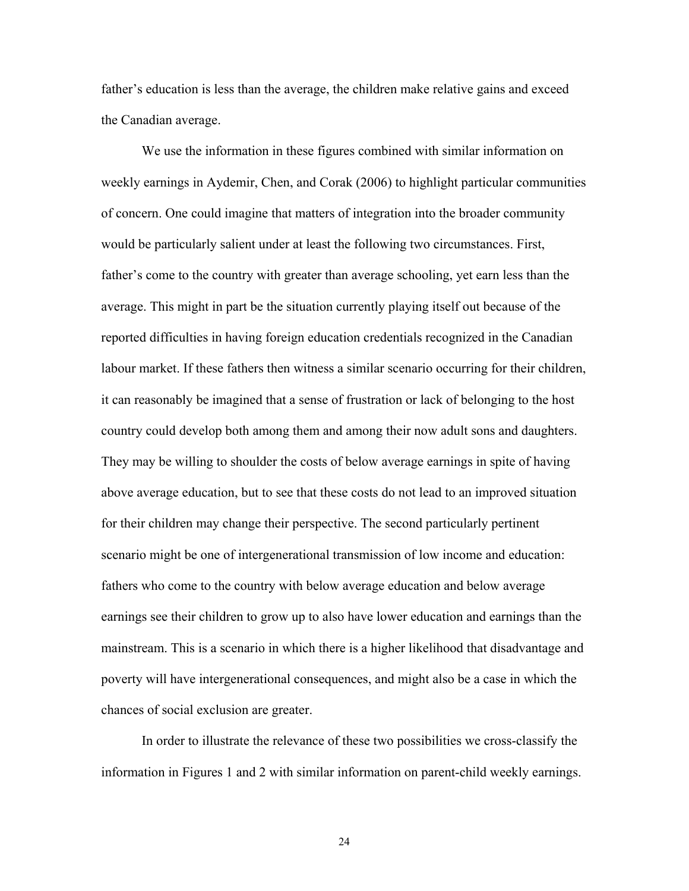father's education is less than the average, the children make relative gains and exceed the Canadian average.

We use the information in these figures combined with similar information on weekly earnings in Aydemir, Chen, and Corak (2006) to highlight particular communities of concern. One could imagine that matters of integration into the broader community would be particularly salient under at least the following two circumstances. First, father's come to the country with greater than average schooling, yet earn less than the average. This might in part be the situation currently playing itself out because of the reported difficulties in having foreign education credentials recognized in the Canadian labour market. If these fathers then witness a similar scenario occurring for their children, it can reasonably be imagined that a sense of frustration or lack of belonging to the host country could develop both among them and among their now adult sons and daughters. They may be willing to shoulder the costs of below average earnings in spite of having above average education, but to see that these costs do not lead to an improved situation for their children may change their perspective. The second particularly pertinent scenario might be one of intergenerational transmission of low income and education: fathers who come to the country with below average education and below average earnings see their children to grow up to also have lower education and earnings than the mainstream. This is a scenario in which there is a higher likelihood that disadvantage and poverty will have intergenerational consequences, and might also be a case in which the chances of social exclusion are greater.

In order to illustrate the relevance of these two possibilities we cross-classify the information in Figures 1 and 2 with similar information on parent-child weekly earnings.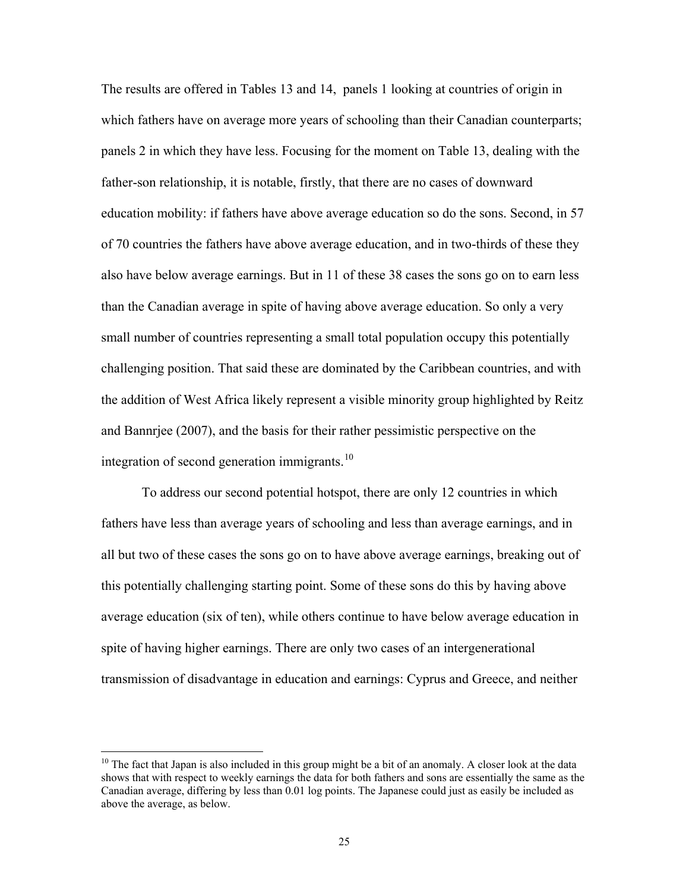<span id="page-25-0"></span>The results are offered in Tables 13 and 14, panels 1 looking at countries of origin in which fathers have on average more years of schooling than their Canadian counterparts; panels 2 in which they have less. Focusing for the moment on Table 13, dealing with the father-son relationship, it is notable, firstly, that there are no cases of downward education mobility: if fathers have above average education so do the sons. Second, in 57 of 70 countries the fathers have above average education, and in two-thirds of these they also have below average earnings. But in 11 of these 38 cases the sons go on to earn less than the Canadian average in spite of having above average education. So only a very small number of countries representing a small total population occupy this potentially challenging position. That said these are dominated by the Caribbean countries, and with the addition of West Africa likely represent a visible minority group highlighted by Reitz and Bannrjee (2007), and the basis for their rather pessimistic perspective on the integration of second generation immigrants.<sup>[10](#page-25-0)</sup>

To address our second potential hotspot, there are only 12 countries in which fathers have less than average years of schooling and less than average earnings, and in all but two of these cases the sons go on to have above average earnings, breaking out of this potentially challenging starting point. Some of these sons do this by having above average education (six of ten), while others continue to have below average education in spite of having higher earnings. There are only two cases of an intergenerational transmission of disadvantage in education and earnings: Cyprus and Greece, and neither

 $\overline{a}$ 

<sup>&</sup>lt;sup>10</sup> The fact that Japan is also included in this group might be a bit of an anomaly. A closer look at the data shows that with respect to weekly earnings the data for both fathers and sons are essentially the same as the Canadian average, differing by less than 0.01 log points. The Japanese could just as easily be included as above the average, as below.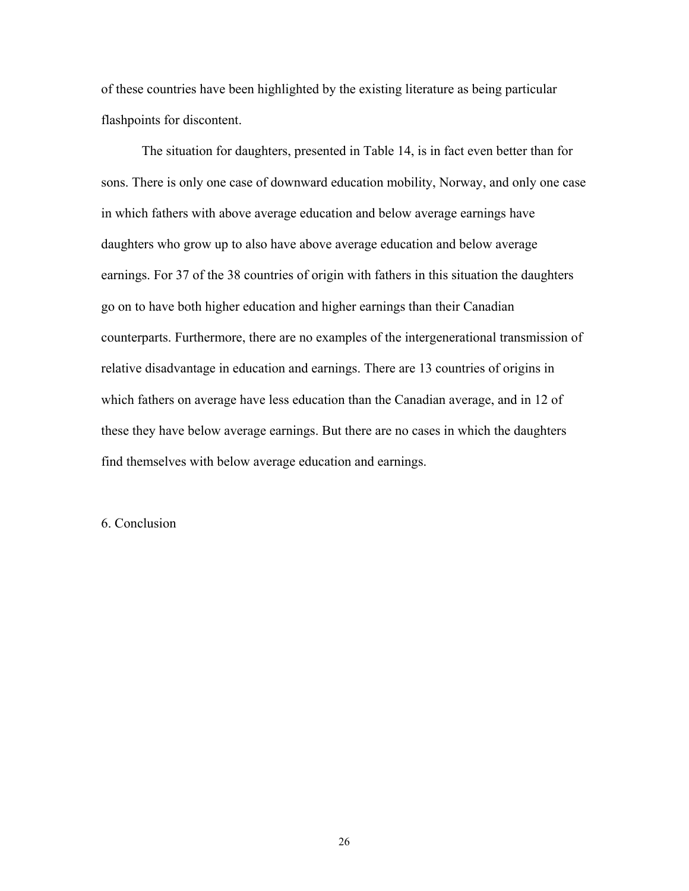of these countries have been highlighted by the existing literature as being particular flashpoints for discontent.

The situation for daughters, presented in Table 14, is in fact even better than for sons. There is only one case of downward education mobility, Norway, and only one case in which fathers with above average education and below average earnings have daughters who grow up to also have above average education and below average earnings. For 37 of the 38 countries of origin with fathers in this situation the daughters go on to have both higher education and higher earnings than their Canadian counterparts. Furthermore, there are no examples of the intergenerational transmission of relative disadvantage in education and earnings. There are 13 countries of origins in which fathers on average have less education than the Canadian average, and in 12 of these they have below average earnings. But there are no cases in which the daughters find themselves with below average education and earnings.

6. Conclusion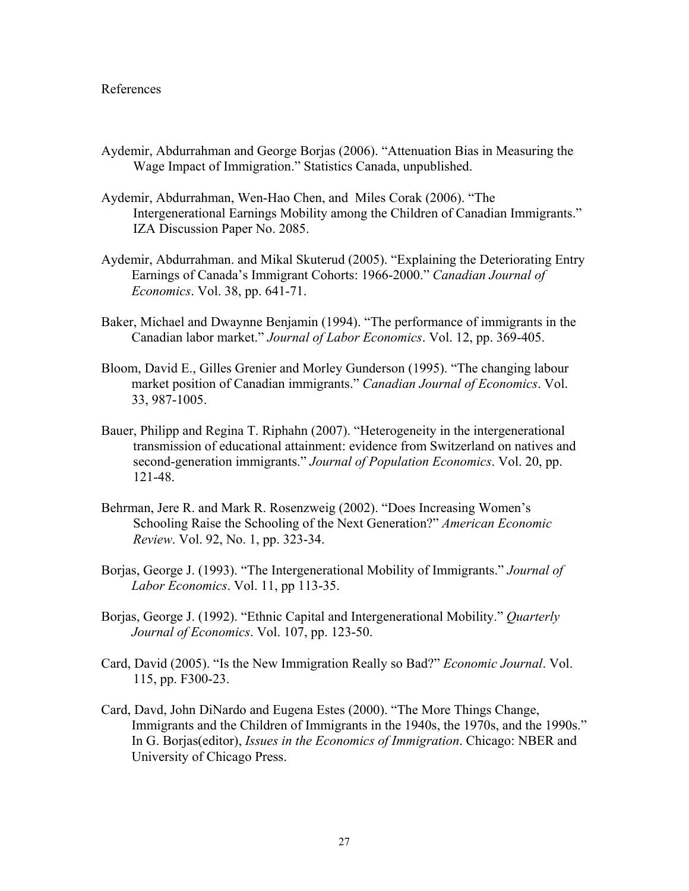#### References

- Aydemir, Abdurrahman and George Borjas (2006). "Attenuation Bias in Measuring the Wage Impact of Immigration." Statistics Canada, unpublished.
- Aydemir, Abdurrahman, Wen-Hao Chen, and Miles Corak (2006). "The Intergenerational Earnings Mobility among the Children of Canadian Immigrants." IZA Discussion Paper No. 2085.
- Aydemir, Abdurrahman. and Mikal Skuterud (2005). "Explaining the Deteriorating Entry Earnings of Canada's Immigrant Cohorts: 1966-2000." *Canadian Journal of Economics*. Vol. 38, pp. 641-71.
- Baker, Michael and Dwaynne Benjamin (1994). "The performance of immigrants in the Canadian labor market." *Journal of Labor Economics*. Vol. 12, pp. 369-405.
- Bloom, David E., Gilles Grenier and Morley Gunderson (1995). "The changing labour market position of Canadian immigrants." *Canadian Journal of Economics*. Vol. 33, 987-1005.
- Bauer, Philipp and Regina T. Riphahn (2007). "Heterogeneity in the intergenerational transmission of educational attainment: evidence from Switzerland on natives and second-generation immigrants." *Journal of Population Economics*. Vol. 20, pp. 121-48.
- Behrman, Jere R. and Mark R. Rosenzweig (2002). "Does Increasing Women's Schooling Raise the Schooling of the Next Generation?" *American Economic Review*. Vol. 92, No. 1, pp. 323-34.
- Borjas, George J. (1993). "The Intergenerational Mobility of Immigrants." *Journal of Labor Economics*. Vol. 11, pp 113-35.
- Borjas, George J. (1992). "Ethnic Capital and Intergenerational Mobility." *Quarterly Journal of Economics*. Vol. 107, pp. 123-50.
- Card, David (2005). "Is the New Immigration Really so Bad?" *Economic Journal*. Vol. 115, pp. F300-23.
- Card, Davd, John DiNardo and Eugena Estes (2000). "The More Things Change, Immigrants and the Children of Immigrants in the 1940s, the 1970s, and the 1990s." In G. Borjas(editor), *Issues in the Economics of Immigration*. Chicago: NBER and University of Chicago Press.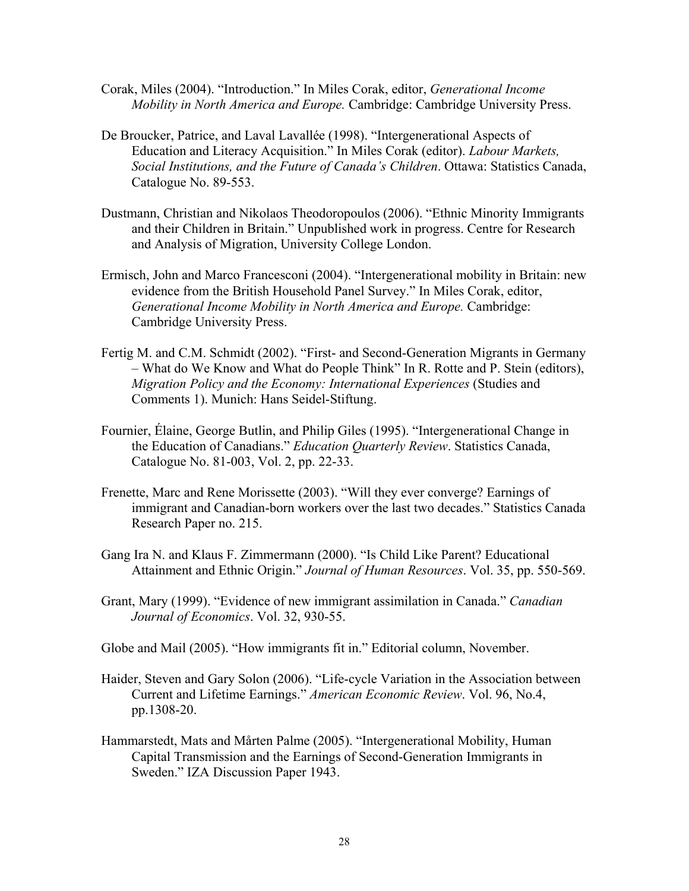- Corak, Miles (2004). "Introduction." In Miles Corak, editor, *Generational Income Mobility in North America and Europe.* Cambridge: Cambridge University Press.
- De Broucker, Patrice, and Laval Lavallée (1998). "Intergenerational Aspects of Education and Literacy Acquisition." In Miles Corak (editor). *Labour Markets, Social Institutions, and the Future of Canada's Children*. Ottawa: Statistics Canada, Catalogue No. 89-553.
- Dustmann, Christian and Nikolaos Theodoropoulos (2006). "Ethnic Minority Immigrants and their Children in Britain." Unpublished work in progress. Centre for Research and Analysis of Migration, University College London.
- Ermisch, John and Marco Francesconi (2004). "Intergenerational mobility in Britain: new evidence from the British Household Panel Survey." In Miles Corak, editor, *Generational Income Mobility in North America and Europe.* Cambridge: Cambridge University Press.
- Fertig M. and C.M. Schmidt (2002). "First- and Second-Generation Migrants in Germany – What do We Know and What do People Think" In R. Rotte and P. Stein (editors), *Migration Policy and the Economy: International Experiences* (Studies and Comments 1). Munich: Hans Seidel-Stiftung.
- Fournier, Élaine, George Butlin, and Philip Giles (1995). "Intergenerational Change in the Education of Canadians." *Education Quarterly Review*. Statistics Canada, Catalogue No. 81-003, Vol. 2, pp. 22-33.
- Frenette, Marc and Rene Morissette (2003). "Will they ever converge? Earnings of immigrant and Canadian-born workers over the last two decades." Statistics Canada Research Paper no. 215.
- Gang Ira N. and Klaus F. Zimmermann (2000). "Is Child Like Parent? Educational Attainment and Ethnic Origin." *Journal of Human Resources*. Vol. 35, pp. 550-569.
- Grant, Mary (1999). "Evidence of new immigrant assimilation in Canada." *Canadian Journal of Economics*. Vol. 32, 930-55.

Globe and Mail (2005). "How immigrants fit in." Editorial column, November.

- Haider, Steven and Gary Solon (2006). "Life-cycle Variation in the Association between Current and Lifetime Earnings." *American Economic Review*. Vol. 96, No.4, pp.1308-20.
- Hammarstedt, Mats and Mårten Palme (2005). "Intergenerational Mobility, Human Capital Transmission and the Earnings of Second-Generation Immigrants in Sweden." IZA Discussion Paper 1943.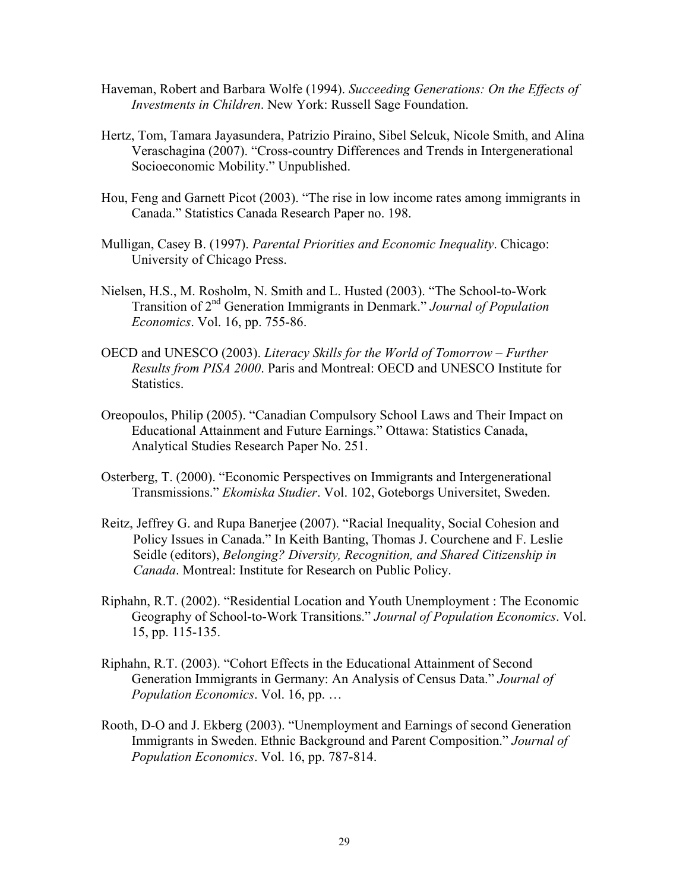- Haveman, Robert and Barbara Wolfe (1994). *Succeeding Generations: On the Effects of Investments in Children*. New York: Russell Sage Foundation.
- Hertz, Tom, Tamara Jayasundera, Patrizio Piraino, Sibel Selcuk, Nicole Smith, and Alina Veraschagina (2007). "Cross-country Differences and Trends in Intergenerational Socioeconomic Mobility." Unpublished.
- Hou, Feng and Garnett Picot (2003). "The rise in low income rates among immigrants in Canada." Statistics Canada Research Paper no. 198.
- Mulligan, Casey B. (1997). *Parental Priorities and Economic Inequality*. Chicago: University of Chicago Press.
- Nielsen, H.S., M. Rosholm, N. Smith and L. Husted (2003). "The School-to-Work Transition of 2nd Generation Immigrants in Denmark." *Journal of Population Economics*. Vol. 16, pp. 755-86.
- OECD and UNESCO (2003). *Literacy Skills for the World of Tomorrow Further Results from PISA 2000*. Paris and Montreal: OECD and UNESCO Institute for Statistics.
- Oreopoulos, Philip (2005). "Canadian Compulsory School Laws and Their Impact on Educational Attainment and Future Earnings." Ottawa: Statistics Canada, Analytical Studies Research Paper No. 251.
- Osterberg, T. (2000). "Economic Perspectives on Immigrants and Intergenerational Transmissions." *Ekomiska Studier*. Vol. 102, Goteborgs Universitet, Sweden.
- Reitz, Jeffrey G. and Rupa Banerjee (2007). "Racial Inequality, Social Cohesion and Policy Issues in Canada." In Keith Banting, Thomas J. Courchene and F. Leslie Seidle (editors), *Belonging? Diversity, Recognition, and Shared Citizenship in Canada*. Montreal: Institute for Research on Public Policy.
- Riphahn, R.T. (2002). "Residential Location and Youth Unemployment : The Economic Geography of School-to-Work Transitions." *Journal of Population Economics*. Vol. 15, pp. 115-135.
- Riphahn, R.T. (2003). "Cohort Effects in the Educational Attainment of Second Generation Immigrants in Germany: An Analysis of Census Data." *Journal of Population Economics*. Vol. 16, pp. …
- Rooth, D-O and J. Ekberg (2003). "Unemployment and Earnings of second Generation Immigrants in Sweden. Ethnic Background and Parent Composition." *Journal of Population Economics*. Vol. 16, pp. 787-814.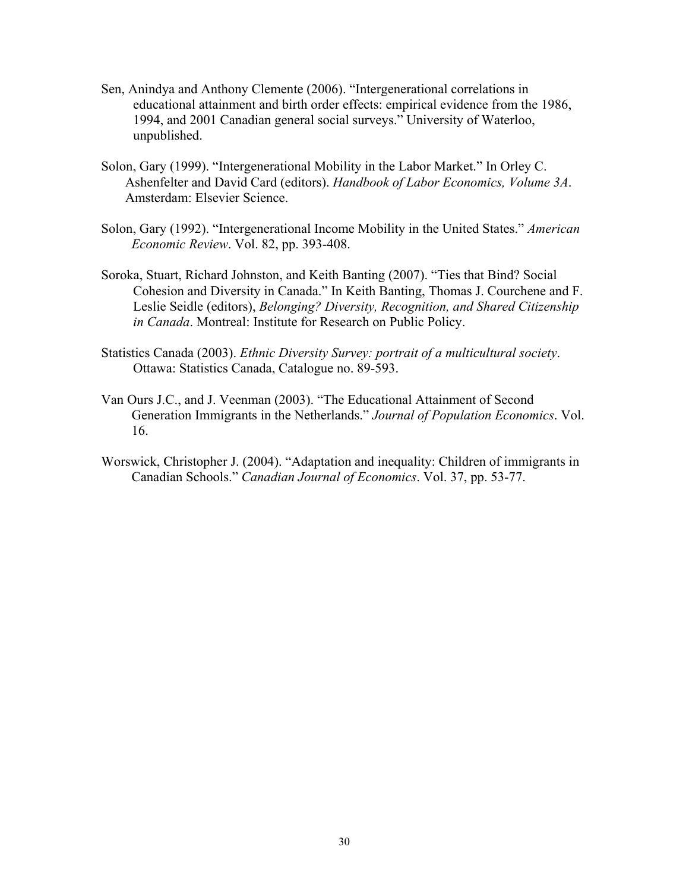- Sen, Anindya and Anthony Clemente (2006). "Intergenerational correlations in educational attainment and birth order effects: empirical evidence from the 1986, 1994, and 2001 Canadian general social surveys." University of Waterloo, unpublished.
- Solon, Gary (1999). "Intergenerational Mobility in the Labor Market." In Orley C. Ashenfelter and David Card (editors). *Handbook of Labor Economics, Volume 3A*. Amsterdam: Elsevier Science.
- Solon, Gary (1992). "Intergenerational Income Mobility in the United States." *American Economic Review*. Vol. 82, pp. 393-408.
- Soroka, Stuart, Richard Johnston, and Keith Banting (2007). "Ties that Bind? Social Cohesion and Diversity in Canada." In Keith Banting, Thomas J. Courchene and F. Leslie Seidle (editors), *Belonging? Diversity, Recognition, and Shared Citizenship in Canada*. Montreal: Institute for Research on Public Policy.
- Statistics Canada (2003). *Ethnic Diversity Survey: portrait of a multicultural society*. Ottawa: Statistics Canada, Catalogue no. 89-593.
- Van Ours J.C., and J. Veenman (2003). "The Educational Attainment of Second Generation Immigrants in the Netherlands." *Journal of Population Economics*. Vol. 16.
- Worswick, Christopher J. (2004). "Adaptation and inequality: Children of immigrants in Canadian Schools." *Canadian Journal of Economics*. Vol. 37, pp. 53-77.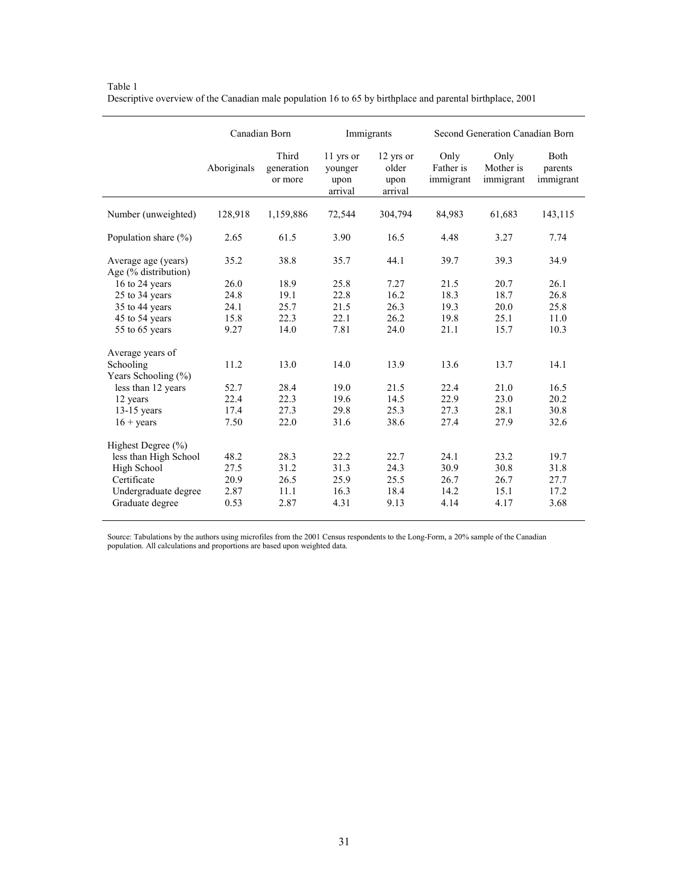|                                             | Canadian Born |                                | Immigrants                              |                                       |                                | Second Generation Canadian Born |                              |  |
|---------------------------------------------|---------------|--------------------------------|-----------------------------------------|---------------------------------------|--------------------------------|---------------------------------|------------------------------|--|
|                                             | Aboriginals   | Third<br>generation<br>or more | 11 yrs or<br>younger<br>upon<br>arrival | 12 yrs or<br>older<br>upon<br>arrival | Only<br>Father is<br>immigrant | Only<br>Mother is<br>immigrant  | Both<br>parents<br>immigrant |  |
| Number (unweighted)                         | 128,918       | 1,159,886                      | 72,544                                  | 304,794                               | 84,983                         | 61,683                          | 143,115                      |  |
| Population share $(\% )$                    | 2.65          | 61.5                           | 3.90                                    | 16.5                                  | 4.48                           | 3.27                            | 7.74                         |  |
| Average age (years)<br>Age (% distribution) | 35.2          | 38.8                           | 35.7                                    | 44.1                                  | 39.7                           | 39.3                            | 34.9                         |  |
| 16 to 24 years                              | 26.0          | 18.9                           | 25.8                                    | 7.27                                  | 21.5                           | 20.7                            | 26.1                         |  |
| 25 to 34 years                              | 24.8          | 19.1                           | 22.8                                    | 16.2                                  | 18.3                           | 18.7                            | 26.8                         |  |
| 35 to 44 years                              | 24.1          | 25.7                           | 21.5                                    | 26.3                                  | 19.3                           | 20.0                            | 25.8                         |  |
| 45 to 54 years                              | 15.8          | 22.3                           | 22.1                                    | 26.2                                  | 19.8                           | 25.1                            | 11.0                         |  |
| 55 to 65 years                              | 9.27          | 14.0                           | 7.81                                    | 24.0                                  | 21.1                           | 15.7                            | 10.3                         |  |
| Average years of                            |               |                                |                                         |                                       |                                |                                 |                              |  |
| Schooling                                   | 11.2          | 13.0                           | 14.0                                    | 13.9                                  | 13.6                           | 13.7                            | 14.1                         |  |
| Years Schooling (%)                         |               |                                |                                         |                                       |                                |                                 |                              |  |
| less than 12 years                          | 52.7          | 28.4                           | 19.0                                    | 21.5                                  | 22.4                           | 21.0                            | 16.5                         |  |
| 12 years                                    | 22.4          | 22.3                           | 19.6                                    | 14.5                                  | 22.9                           | 23.0                            | 20.2                         |  |
| $13-15$ years                               | 17.4          | 27.3                           | 29.8                                    | 25.3                                  | 27.3                           | 28.1                            | 30.8                         |  |
| $16 + \text{years}$                         | 7.50          | 22.0                           | 31.6                                    | 38.6                                  | 27.4                           | 27.9                            | 32.6                         |  |
| Highest Degree $(\% )$                      |               |                                |                                         |                                       |                                |                                 |                              |  |
| less than High School                       | 48.2          | 28.3                           | 22.2                                    | 22.7                                  | 24.1                           | 23.2                            | 19.7                         |  |
| High School                                 | 27.5          | 31.2                           | 31.3                                    | 24.3                                  | 30.9                           | 30.8                            | 31.8                         |  |
| Certificate                                 | 20.9          | 26.5                           | 25.9                                    | 25.5                                  | 26.7                           | 26.7                            | 27.7                         |  |
| Undergraduate degree                        | 2.87          | 11.1                           | 16.3                                    | 18.4                                  | 14.2                           | 15.1                            | 17.2                         |  |
| Graduate degree                             | 0.53          | 2.87                           | 4.31                                    | 9.13                                  | 4.14                           | 4.17                            | 3.68                         |  |

Table 1 Descriptive overview of the Canadian male population 16 to 65 by birthplace and parental birthplace, 2001

Source: Tabulations by the authors using microfiles from the 2001 Census respondents to the Long-Form, a 20% sample of the Canadian population. All calculations and proportions are based upon weighted data.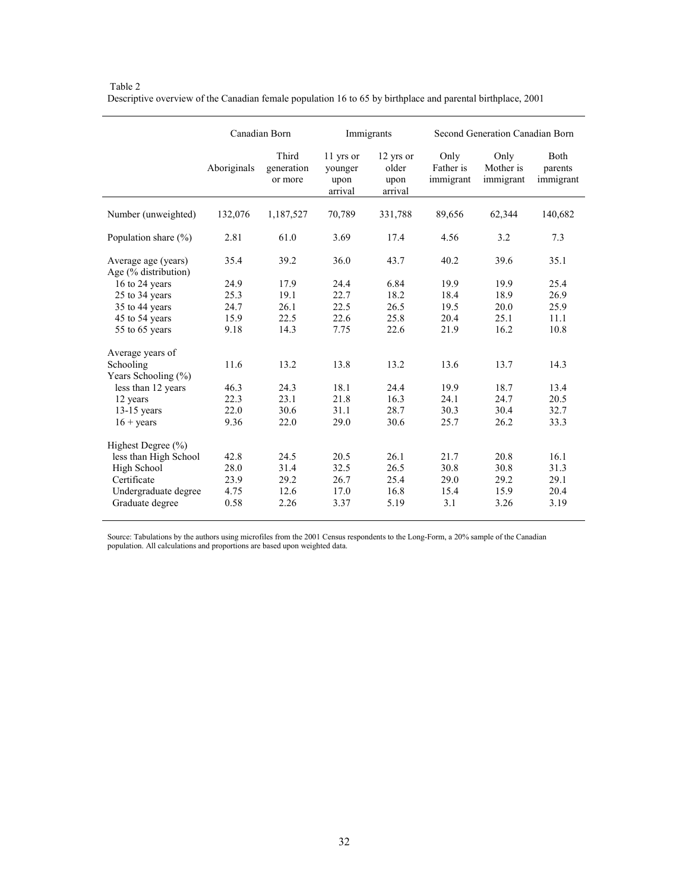|                                             | Canadian Born |                                |                                         | Immigrants                            |                                | Second Generation Canadian Born |                              |  |
|---------------------------------------------|---------------|--------------------------------|-----------------------------------------|---------------------------------------|--------------------------------|---------------------------------|------------------------------|--|
|                                             | Aboriginals   | Third<br>generation<br>or more | 11 yrs or<br>younger<br>upon<br>arrival | 12 yrs or<br>older<br>upon<br>arrival | Only<br>Father is<br>immigrant | Only<br>Mother is<br>immigrant  | Both<br>parents<br>immigrant |  |
| Number (unweighted)                         | 132,076       | 1,187,527                      | 70,789                                  | 331,788                               | 89,656                         | 62,344                          | 140,682                      |  |
| Population share $(\% )$                    | 2.81          | 61.0                           | 3.69                                    | 17.4                                  | 4.56                           | 3.2                             | 7.3                          |  |
| Average age (years)<br>Age (% distribution) | 35.4          | 39.2                           | 36.0                                    | 43.7                                  | 40.2                           | 39.6                            | 35.1                         |  |
| 16 to 24 years                              | 24.9          | 17.9                           | 24.4                                    | 6.84                                  | 19.9                           | 19.9                            | 25.4                         |  |
| 25 to 34 years                              | 25.3          | 19.1                           | 22.7                                    | 18.2                                  | 18.4                           | 18.9                            | 26.9                         |  |
| 35 to 44 years                              | 24.7          | 26.1                           | 22.5                                    | 26.5                                  | 19.5                           | 20.0                            | 25.9                         |  |
| 45 to 54 years                              | 15.9          | 22.5                           | 22.6                                    | 25.8                                  | 20.4                           | 25.1                            | 11.1                         |  |
| 55 to 65 years                              | 9.18          | 14.3                           | 7.75                                    | 22.6                                  | 21.9                           | 16.2                            | 10.8                         |  |
| Average years of                            |               |                                |                                         |                                       |                                |                                 |                              |  |
| Schooling<br>Years Schooling (%)            | 11.6          | 13.2                           | 13.8                                    | 13.2                                  | 13.6                           | 13.7                            | 14.3                         |  |
| less than 12 years                          | 46.3          | 24.3                           | 18.1                                    | 24.4                                  | 19.9                           | 18.7                            | 13.4                         |  |
| 12 years                                    | 22.3          | 23.1                           | 21.8                                    | 16.3                                  | 24.1                           | 24.7                            | 20.5                         |  |
| $13-15$ years                               | 22.0          | 30.6                           | 31.1                                    | 28.7                                  | 30.3                           | 30.4                            | 32.7                         |  |
| $16 + \text{years}$                         | 9.36          | 22.0                           | 29.0                                    | 30.6                                  | 25.7                           | 26.2                            | 33.3                         |  |
| Highest Degree $(\% )$                      |               |                                |                                         |                                       |                                |                                 |                              |  |
| less than High School                       | 42.8          | 24.5                           | 20.5                                    | 26.1                                  | 21.7                           | 20.8                            | 16.1                         |  |
| High School                                 | 28.0          | 31.4                           | 32.5                                    | 26.5                                  | 30.8                           | 30.8                            | 31.3                         |  |
| Certificate                                 | 23.9          | 29.2                           | 26.7                                    | 25.4                                  | 29.0                           | 29.2                            | 29.1                         |  |
| Undergraduate degree                        | 4.75          | 12.6                           | 17.0                                    | 16.8                                  | 15.4                           | 15.9                            | 20.4                         |  |
| Graduate degree                             | 0.58          | 2.26                           | 3.37                                    | 5.19                                  | 3.1                            | 3.26                            | 3.19                         |  |

 Table 2 Descriptive overview of the Canadian female population 16 to 65 by birthplace and parental birthplace, 2001

Source: Tabulations by the authors using microfiles from the 2001 Census respondents to the Long-Form, a 20% sample of the Canadian population. All calculations and proportions are based upon weighted data.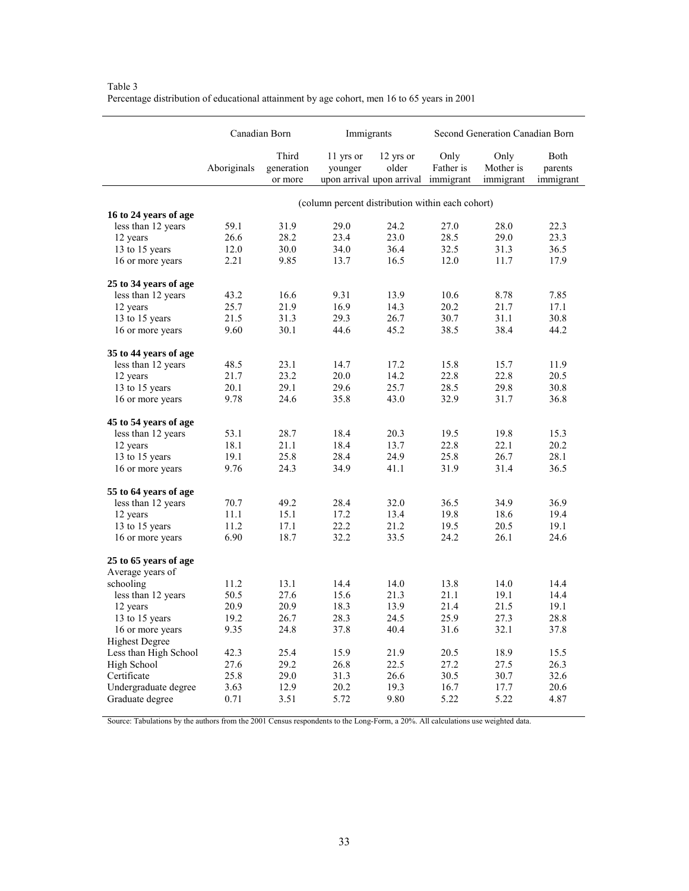|                       | Canadian Born |                                |                                                  | Immigrants                                      |                                | Second Generation Canadian Born |                              |  |
|-----------------------|---------------|--------------------------------|--------------------------------------------------|-------------------------------------------------|--------------------------------|---------------------------------|------------------------------|--|
|                       | Aboriginals   | Third<br>generation<br>or more | 11 yrs or<br>younger                             | 12 yrs or<br>older<br>upon arrival upon arrival | Only<br>Father is<br>immigrant | Only<br>Mother is<br>immigrant  | Both<br>parents<br>immigrant |  |
|                       |               |                                | (column percent distribution within each cohort) |                                                 |                                |                                 |                              |  |
| 16 to 24 years of age |               |                                |                                                  |                                                 |                                |                                 |                              |  |
| less than 12 years    | 59.1          | 31.9                           | 29.0                                             | 24.2                                            | 27.0                           | 28.0                            | 22.3                         |  |
| 12 years              | 26.6          | 28.2                           | 23.4                                             | 23.0                                            | 28.5                           | 29.0                            | 23.3                         |  |
| 13 to 15 years        | 12.0          | 30.0                           | 34.0                                             | 36.4                                            | 32.5                           | 31.3                            | 36.5                         |  |
| 16 or more years      | 2.21          | 9.85                           | 13.7                                             | 16.5                                            | 12.0                           | 11.7                            | 17.9                         |  |
| 25 to 34 years of age |               |                                |                                                  |                                                 |                                |                                 |                              |  |
| less than 12 years    | 43.2          | 16.6                           | 9.31                                             | 13.9                                            | 10.6                           | 8.78                            | 7.85                         |  |
| 12 years              | 25.7          | 21.9                           | 16.9                                             | 14.3                                            | 20.2                           | 21.7                            | 17.1                         |  |
| 13 to 15 years        | 21.5          | 31.3                           | 29.3                                             | 26.7                                            | 30.7                           | 31.1                            | 30.8                         |  |
| 16 or more years      | 9.60          | 30.1                           | 44.6                                             | 45.2                                            | 38.5                           | 38.4                            | 44.2                         |  |
| 35 to 44 years of age |               |                                |                                                  |                                                 |                                |                                 |                              |  |
| less than 12 years    | 48.5          | 23.1                           | 14.7                                             | 17.2                                            | 15.8                           | 15.7                            | 11.9                         |  |
| 12 years              | 21.7          | 23.2                           | 20.0                                             | 14.2                                            | 22.8                           | 22.8                            | 20.5                         |  |
| 13 to 15 years        | 20.1          | 29.1                           | 29.6                                             | 25.7                                            | 28.5                           | 29.8                            | 30.8                         |  |
| 16 or more years      | 9.78          | 24.6                           | 35.8                                             | 43.0                                            | 32.9                           | 31.7                            | 36.8                         |  |
| 45 to 54 years of age |               |                                |                                                  |                                                 |                                |                                 |                              |  |
| less than 12 years    | 53.1          | 28.7                           | 18.4                                             | 20.3                                            | 19.5                           | 19.8                            | 15.3                         |  |
| 12 years              | 18.1          | 21.1                           | 18.4                                             | 13.7                                            | 22.8                           | 22.1                            | 20.2                         |  |
| 13 to 15 years        | 19.1          | 25.8                           | 28.4                                             | 24.9                                            | 25.8                           | 26.7                            | 28.1                         |  |
| 16 or more years      | 9.76          | 24.3                           | 34.9                                             | 41.1                                            | 31.9                           | 31.4                            | 36.5                         |  |
| 55 to 64 years of age |               |                                |                                                  |                                                 |                                |                                 |                              |  |
| less than 12 years    | 70.7          | 49.2                           | 28.4                                             | 32.0                                            | 36.5                           | 34.9                            | 36.9                         |  |
| 12 years              | 11.1          | 15.1                           | 17.2                                             | 13.4                                            | 19.8                           | 18.6                            | 19.4                         |  |
| 13 to 15 years        | 11.2          | 17.1                           | 22.2                                             | 21.2                                            | 19.5                           | 20.5                            | 19.1                         |  |
| 16 or more years      | 6.90          | 18.7                           | 32.2                                             | 33.5                                            | 24.2                           | 26.1                            | 24.6                         |  |
| 25 to 65 years of age |               |                                |                                                  |                                                 |                                |                                 |                              |  |
| Average years of      |               |                                |                                                  |                                                 |                                |                                 |                              |  |
| schooling             | 11.2          | 13.1                           | 14.4                                             | 14.0                                            | 13.8                           | 14.0                            | 14.4                         |  |
| less than 12 years    | 50.5          | 27.6                           | 15.6                                             | 21.3                                            | 21.1                           | 19.1                            | 14.4                         |  |
| 12 years              | 20.9          | 20.9                           | 18.3                                             | 13.9                                            | 21.4                           | 21.5                            | 19.1                         |  |
| 13 to 15 years        | 19.2          | 26.7                           | 28.3                                             | 24.5                                            | 25.9                           | 27.3                            | 28.8                         |  |
| 16 or more years      | 9.35          | 24.8                           | 37.8                                             | 40.4                                            | 31.6                           | 32.1                            | 37.8                         |  |
| <b>Highest Degree</b> |               |                                |                                                  |                                                 |                                |                                 |                              |  |
| Less than High School | 42.3          | 25.4                           | 15.9                                             | 21.9                                            | 20.5                           | 18.9                            | 15.5                         |  |
| High School           | 27.6          | 29.2                           | 26.8                                             | 22.5                                            | 27.2                           | 27.5                            | 26.3                         |  |
| Certificate           | 25.8          | 29.0                           | 31.3                                             | 26.6                                            | 30.5                           | 30.7                            | 32.6                         |  |
| Undergraduate degree  | 3.63          | 12.9                           | 20.2                                             | 19.3                                            | 16.7                           | 17.7                            | 20.6                         |  |
| Graduate degree       | 0.71          | 3.51                           | 5.72                                             | 9.80                                            | 5.22                           | 5.22                            | 4.87                         |  |

Table 3 Percentage distribution of educational attainment by age cohort, men 16 to 65 years in 2001

Source: Tabulations by the authors from the 2001 Census respondents to the Long-Form, a 20%. All calculations use weighted data.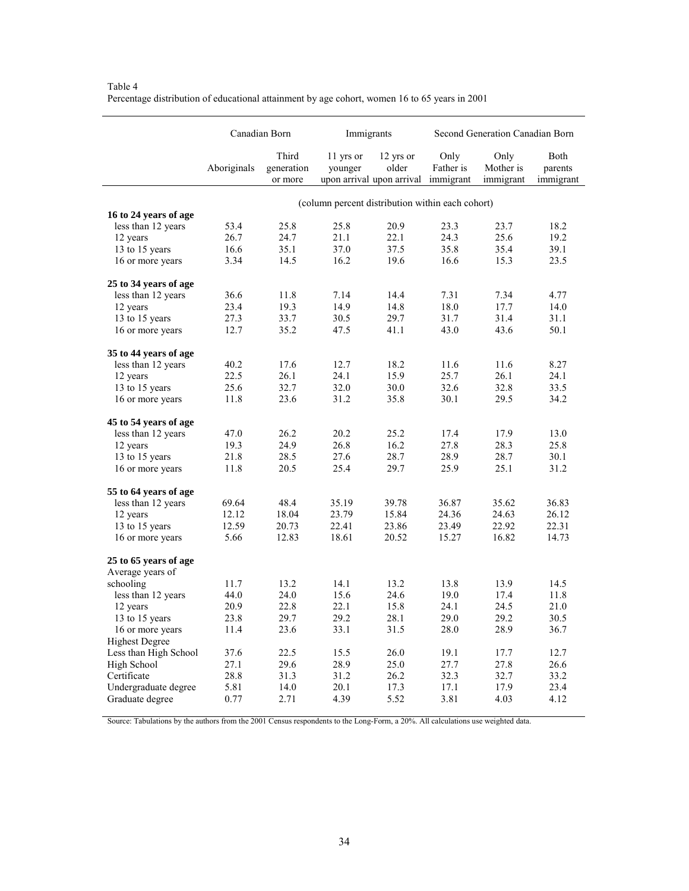|                       | Canadian Born |                                |                                                             | Immigrants         |                   | Second Generation Canadian Born |                              |  |
|-----------------------|---------------|--------------------------------|-------------------------------------------------------------|--------------------|-------------------|---------------------------------|------------------------------|--|
|                       | Aboriginals   | Third<br>generation<br>or more | 11 yrs or<br>younger<br>upon arrival upon arrival immigrant | 12 yrs or<br>older | Only<br>Father is | Only<br>Mother is<br>immigrant  | Both<br>parents<br>immigrant |  |
|                       |               |                                | (column percent distribution within each cohort)            |                    |                   |                                 |                              |  |
| 16 to 24 years of age |               |                                |                                                             |                    |                   |                                 |                              |  |
| less than 12 years    | 53.4          | 25.8                           | 25.8                                                        | 20.9               | 23.3              | 23.7                            | 18.2                         |  |
| 12 years              | 26.7          | 24.7                           | 21.1                                                        | 22.1               | 24.3              | 25.6                            | 19.2                         |  |
| 13 to 15 years        | 16.6          | 35.1                           | 37.0                                                        | 37.5               | 35.8              | 35.4                            | 39.1                         |  |
| 16 or more years      | 3.34          | 14.5                           | 16.2                                                        | 19.6               | 16.6              | 15.3                            | 23.5                         |  |
| 25 to 34 years of age |               |                                |                                                             |                    |                   |                                 |                              |  |
| less than 12 years    | 36.6          | 11.8                           | 7.14                                                        | 14.4               | 7.31              | 7.34                            | 4.77                         |  |
| 12 years              | 23.4          | 19.3                           | 14.9                                                        | 14.8               | 18.0              | 17.7                            | 14.0                         |  |
| 13 to 15 years        | 27.3          | 33.7                           | 30.5                                                        | 29.7               | 31.7              | 31.4                            | 31.1                         |  |
| 16 or more years      | 12.7          | 35.2                           | 47.5                                                        | 41.1               | 43.0              | 43.6                            | 50.1                         |  |
| 35 to 44 years of age |               |                                |                                                             |                    |                   |                                 |                              |  |
| less than 12 years    | 40.2          | 17.6                           | 12.7                                                        | 18.2               | 11.6              | 11.6                            | 8.27                         |  |
| 12 years              | 22.5          | 26.1                           | 24.1                                                        | 15.9               | 25.7              | 26.1                            | 24.1                         |  |
| 13 to 15 years        | 25.6          | 32.7                           | 32.0                                                        | 30.0               | 32.6              | 32.8                            | 33.5                         |  |
| 16 or more years      | 11.8          | 23.6                           | 31.2                                                        | 35.8               | 30.1              | 29.5                            | 34.2                         |  |
| 45 to 54 years of age |               |                                |                                                             |                    |                   |                                 |                              |  |
| less than 12 years    | 47.0          | 26.2                           | 20.2                                                        | 25.2               | 17.4              | 17.9                            | 13.0                         |  |
| 12 years              | 19.3          | 24.9                           | 26.8                                                        | 16.2               | 27.8              | 28.3                            | 25.8                         |  |
| 13 to 15 years        | 21.8          | 28.5                           | 27.6                                                        | 28.7               | 28.9              | 28.7                            | 30.1                         |  |
| 16 or more years      | 11.8          | 20.5                           | 25.4                                                        | 29.7               | 25.9              | 25.1                            | 31.2                         |  |
| 55 to 64 years of age |               |                                |                                                             |                    |                   |                                 |                              |  |
| less than 12 years    | 69.64         | 48.4                           | 35.19                                                       | 39.78              | 36.87             | 35.62                           | 36.83                        |  |
| 12 years              | 12.12         | 18.04                          | 23.79                                                       | 15.84              | 24.36             | 24.63                           | 26.12                        |  |
| 13 to 15 years        | 12.59         | 20.73                          | 22.41                                                       | 23.86              | 23.49             | 22.92                           | 22.31                        |  |
| 16 or more years      | 5.66          | 12.83                          | 18.61                                                       | 20.52              | 15.27             | 16.82                           | 14.73                        |  |
| 25 to 65 years of age |               |                                |                                                             |                    |                   |                                 |                              |  |
| Average years of      |               |                                |                                                             |                    |                   |                                 |                              |  |
| schooling             | 11.7          | 13.2                           | 14.1                                                        | 13.2               | 13.8              | 13.9                            | 14.5                         |  |
| less than 12 years    | 44.0          | 24.0                           | 15.6                                                        | 24.6               | 19.0              | 17.4                            | 11.8                         |  |
| 12 years              | 20.9          | 22.8                           | 22.1                                                        | 15.8               | 24.1              | 24.5                            | 21.0                         |  |
| 13 to 15 years        | 23.8          | 29.7                           | 29.2                                                        | 28.1               | 29.0              | 29.2                            | 30.5                         |  |
| 16 or more years      | 11.4          | 23.6                           | 33.1                                                        | 31.5               | 28.0              | 28.9                            | 36.7                         |  |
| <b>Highest Degree</b> |               |                                |                                                             |                    |                   |                                 |                              |  |
| Less than High School | 37.6          | 22.5                           | 15.5                                                        | 26.0               | 19.1              | 17.7                            | 12.7                         |  |
| High School           | 27.1          | 29.6                           | 28.9                                                        | 25.0               | 27.7              | 27.8                            | 26.6                         |  |
| Certificate           | 28.8          | 31.3                           | 31.2                                                        | 26.2               | 32.3              | 32.7                            | 33.2                         |  |
| Undergraduate degree  | 5.81          | 14.0                           | 20.1                                                        | 17.3               | 17.1              | 17.9                            | 23.4                         |  |
| Graduate degree       | 0.77          | 2.71                           | 4.39                                                        | 5.52               | 3.81              | 4.03                            | 4.12                         |  |

Table 4 Percentage distribution of educational attainment by age cohort, women 16 to 65 years in 2001

Source: Tabulations by the authors from the 2001 Census respondents to the Long-Form, a 20%. All calculations use weighted data.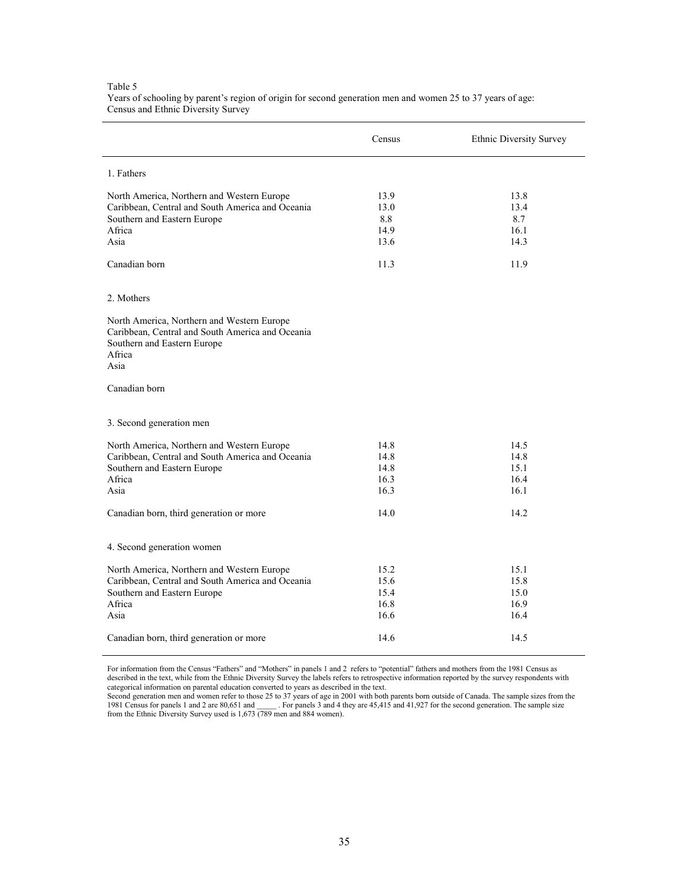|                                                                                                                                                 | Census                               | Ethnic Diversity Survey              |
|-------------------------------------------------------------------------------------------------------------------------------------------------|--------------------------------------|--------------------------------------|
| 1. Fathers                                                                                                                                      |                                      |                                      |
| North America, Northern and Western Europe<br>Caribbean, Central and South America and Oceania<br>Southern and Eastern Europe<br>Africa<br>Asia | 13.9<br>13.0<br>8.8<br>14.9<br>13.6  | 13.8<br>13.4<br>8.7<br>16.1<br>14.3  |
| Canadian born                                                                                                                                   | 11.3                                 | 11.9                                 |
| 2. Mothers                                                                                                                                      |                                      |                                      |
| North America, Northern and Western Europe<br>Caribbean, Central and South America and Oceania<br>Southern and Eastern Europe<br>Africa<br>Asia |                                      |                                      |
| Canadian born                                                                                                                                   |                                      |                                      |
| 3. Second generation men                                                                                                                        |                                      |                                      |
| North America, Northern and Western Europe<br>Caribbean, Central and South America and Oceania<br>Southern and Eastern Europe<br>Africa<br>Asia | 14.8<br>14.8<br>14.8<br>16.3<br>16.3 | 14.5<br>14.8<br>15.1<br>16.4<br>16.1 |
| Canadian born, third generation or more                                                                                                         | 14.0                                 | 14.2                                 |
| 4. Second generation women                                                                                                                      |                                      |                                      |
| North America, Northern and Western Europe<br>Caribbean, Central and South America and Oceania<br>Southern and Eastern Europe<br>Africa<br>Asia | 15.2<br>15.6<br>15.4<br>16.8<br>16.6 | 15.1<br>15.8<br>15.0<br>16.9<br>16.4 |
| Canadian born, third generation or more                                                                                                         | 14.6                                 | 14.5                                 |

#### Table 5 Years of schooling by parent's region of origin for second generation men and women 25 to 37 years of age: Census and Ethnic Diversity Survey

For information from the Census "Fathers" and "Mothers" in panels 1 and 2 refers to "potential" fathers and mothers from the 1981 Census as<br>described in the text, while from the Ethnic Diversity Survey the labels refers to categorical information on parental education converted to years as described in the text.

Second generation men and women refer to those 25 to 37 years of age in 2001 with both parents born outside of Canada. The sample sizes from the 1981 Census for panels 1 and 2 are 80,651 and 1. For panels 3 and 4 they are from the Ethnic Diversity Survey used is 1,673 (789 men and 884 women).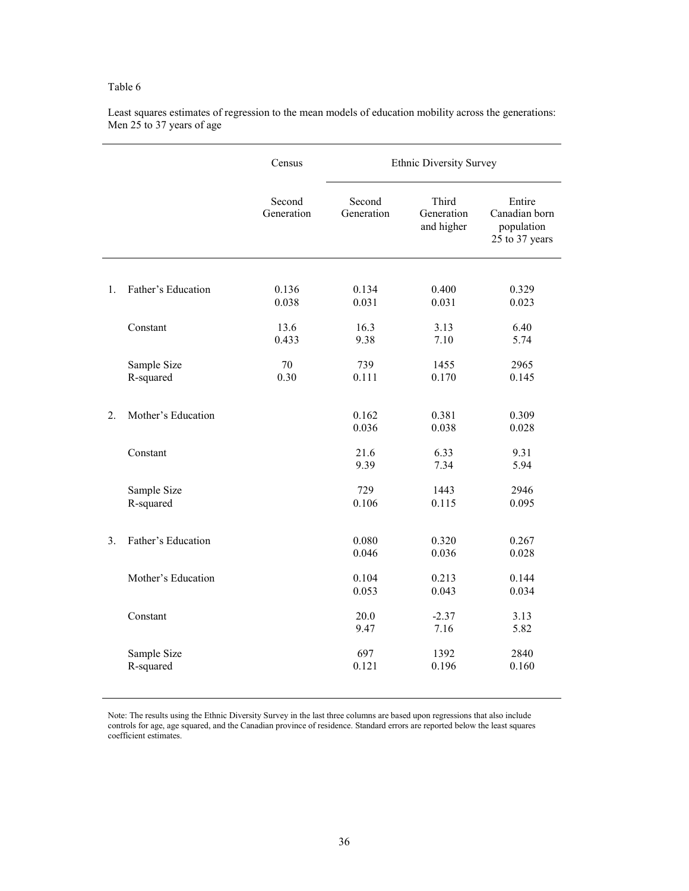|                  |                          | Census               | <b>Ethnic Diversity Survey</b> |                                   |                                                         |
|------------------|--------------------------|----------------------|--------------------------------|-----------------------------------|---------------------------------------------------------|
|                  |                          | Second<br>Generation | Second<br>Generation           | Third<br>Generation<br>and higher | Entire<br>Canadian born<br>population<br>25 to 37 years |
| 1.               | Father's Education       | 0.136<br>0.038       | 0.134<br>0.031                 | 0.400<br>0.031                    | 0.329<br>0.023                                          |
|                  | Constant                 | 13.6<br>0.433        | 16.3<br>9.38                   | 3.13<br>7.10                      | 6.40<br>5.74                                            |
|                  | Sample Size<br>R-squared | $70\,$<br>0.30       | 739<br>0.111                   | 1455<br>0.170                     | 2965<br>0.145                                           |
| $\overline{2}$ . | Mother's Education       |                      | 0.162<br>0.036                 | 0.381<br>0.038                    | 0.309<br>0.028                                          |
|                  | Constant                 |                      | 21.6<br>9.39                   | 6.33<br>7.34                      | 9.31<br>5.94                                            |
|                  | Sample Size<br>R-squared |                      | 729<br>0.106                   | 1443<br>0.115                     | 2946<br>0.095                                           |
| 3.               | Father's Education       |                      | 0.080<br>0.046                 | 0.320<br>0.036                    | 0.267<br>0.028                                          |
|                  | Mother's Education       |                      | 0.104<br>0.053                 | 0.213<br>0.043                    | 0.144<br>0.034                                          |
|                  | Constant                 |                      | 20.0<br>9.47                   | $-2.37$<br>7.16                   | 3.13<br>5.82                                            |
|                  | Sample Size<br>R-squared |                      | 697<br>0.121                   | 1392<br>0.196                     | 2840<br>0.160                                           |

Least squares estimates of regression to the mean models of education mobility across the generations: Men 25 to 37 years of age

Note: The results using the Ethnic Diversity Survey in the last three columns are based upon regressions that also include controls for age, age squared, and the Canadian province of residence. Standard errors are reported below the least squares coefficient estimates.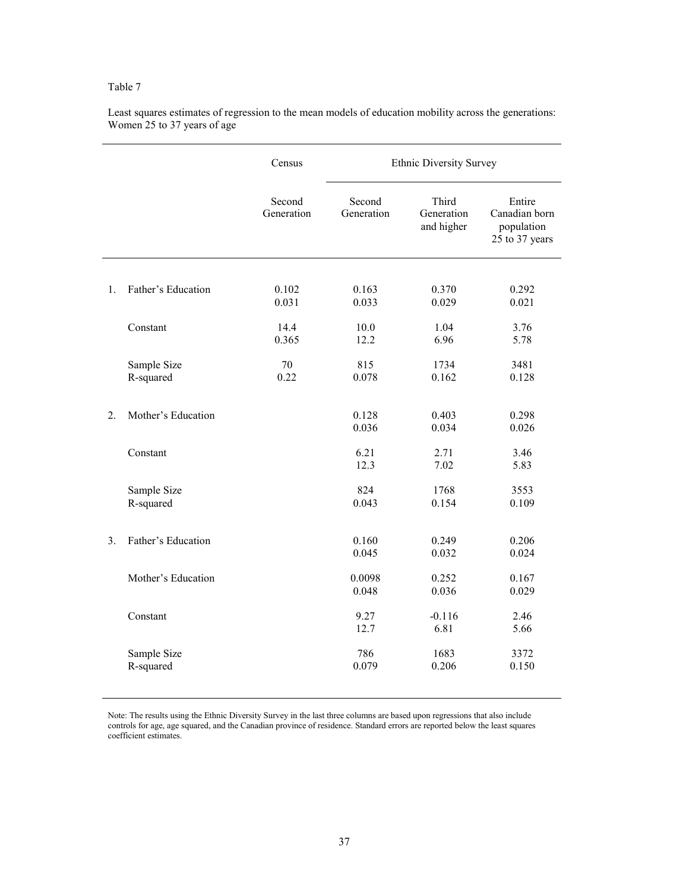|                  |                          | Census               | <b>Ethnic Diversity Survey</b> |                                   |                                                         |  |
|------------------|--------------------------|----------------------|--------------------------------|-----------------------------------|---------------------------------------------------------|--|
|                  |                          | Second<br>Generation | Second<br>Generation           | Third<br>Generation<br>and higher | Entire<br>Canadian born<br>population<br>25 to 37 years |  |
| 1.               | Father's Education       | 0.102<br>0.031       | 0.163<br>0.033                 | 0.370<br>0.029                    | 0.292<br>0.021                                          |  |
|                  | Constant                 | 14.4<br>0.365        | 10.0<br>12.2                   | 1.04<br>6.96                      | 3.76<br>5.78                                            |  |
|                  | Sample Size<br>R-squared | 70<br>0.22           | 815<br>0.078                   | 1734<br>0.162                     | 3481<br>0.128                                           |  |
| $\overline{2}$ . | Mother's Education       |                      | 0.128<br>0.036                 | 0.403<br>0.034                    | 0.298<br>0.026                                          |  |
|                  | Constant                 |                      | 6.21<br>12.3                   | 2.71<br>7.02                      | 3.46<br>5.83                                            |  |
|                  | Sample Size<br>R-squared |                      | 824<br>0.043                   | 1768<br>0.154                     | 3553<br>0.109                                           |  |
| 3.               | Father's Education       |                      | 0.160<br>0.045                 | 0.249<br>0.032                    | 0.206<br>0.024                                          |  |
|                  | Mother's Education       |                      | 0.0098<br>0.048                | 0.252<br>0.036                    | 0.167<br>0.029                                          |  |
|                  | Constant                 |                      | 9.27<br>12.7                   | $-0.116$<br>6.81                  | 2.46<br>5.66                                            |  |
|                  | Sample Size<br>R-squared |                      | 786<br>0.079                   | 1683<br>0.206                     | 3372<br>0.150                                           |  |

Least squares estimates of regression to the mean models of education mobility across the generations: Women 25 to 37 years of age

Note: The results using the Ethnic Diversity Survey in the last three columns are based upon regressions that also include controls for age, age squared, and the Canadian province of residence. Standard errors are reported below the least squares coefficient estimates.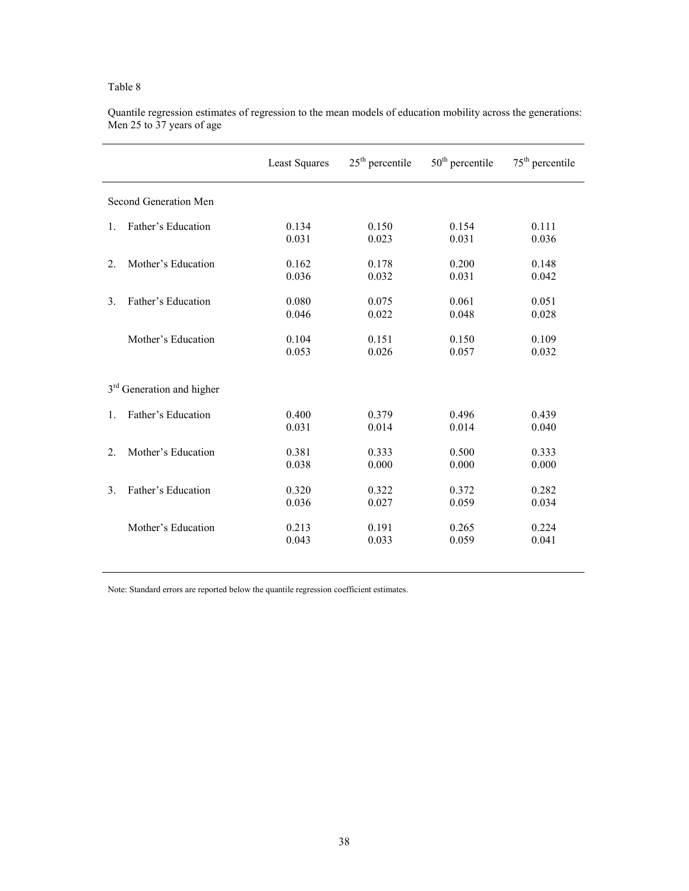|                  |                                       | <b>Least Squares</b> | $25th$ percentile | $50th$ percentile | $75th$ percentile |
|------------------|---------------------------------------|----------------------|-------------------|-------------------|-------------------|
|                  | Second Generation Men                 |                      |                   |                   |                   |
| $\mathbf{1}$ .   | Father's Education                    | 0.134                | 0.150             | 0.154             | 0.111             |
|                  |                                       | 0.031                | 0.023             | 0.031             | 0.036             |
| $\overline{2}$ . | Mother's Education                    | 0.162                | 0.178             | 0.200             | 0.148             |
|                  |                                       | 0.036                | 0.032             | 0.031             | 0.042             |
| 3 <sub>1</sub>   | Father's Education                    | 0.080                | 0.075             | 0.061             | 0.051             |
|                  |                                       | 0.046                | 0.022             | 0.048             | 0.028             |
|                  | Mother's Education                    | 0.104                | 0.151             | 0.150             | 0.109             |
|                  |                                       | 0.053                | 0.026             | 0.057             | 0.032             |
|                  |                                       |                      |                   |                   |                   |
|                  | 3 <sup>rd</sup> Generation and higher |                      |                   |                   |                   |
| $\mathbf{1}$ .   | Father's Education                    | 0.400                | 0.379             | 0.496             | 0.439             |
|                  |                                       | 0.031                | 0.014             | 0.014             | 0.040             |
| $\overline{2}$ . | Mother's Education                    | 0.381                | 0.333             | 0.500             | 0.333             |
|                  |                                       | 0.038                | 0.000             | 0.000             | 0.000             |
| 3 <sub>1</sub>   | Father's Education                    | 0.320                | 0.322             | 0.372             | 0.282             |
|                  |                                       | 0.036                | 0.027             | 0.059             | 0.034             |
|                  | Mother's Education                    | 0.213                | 0.191             | 0.265             | 0.224             |
|                  |                                       | 0.043                | 0.033             | 0.059             | 0.041             |
|                  |                                       |                      |                   |                   |                   |

Quantile regression estimates of regression to the mean models of education mobility across the generations: Men 25 to 37 years of age

Note: Standard errors are reported below the quantile regression coefficient estimates.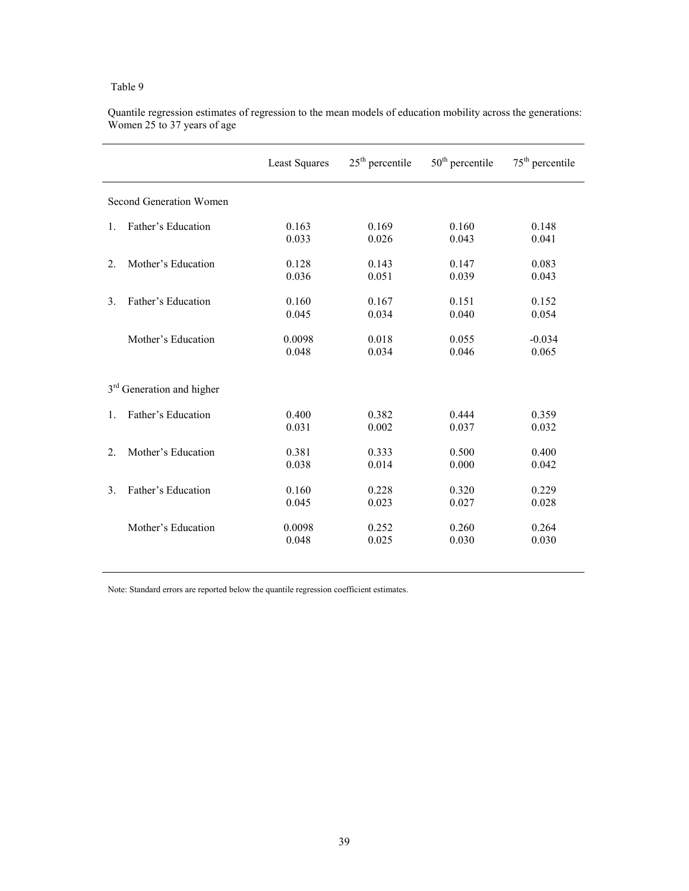| <b>Least Squares</b> | $25th$ percentile | $50th$ percentile | $75th$ percentile |
|----------------------|-------------------|-------------------|-------------------|
|                      |                   |                   |                   |
| 0.163                | 0.169             | 0.160             | 0.148             |
| 0.033                | 0.026             | 0.043             | 0.041             |
| 0.128                | 0.143             | 0.147             | 0.083             |
| 0.036                | 0.051             | 0.039             | 0.043             |
| 0.160                | 0.167             | 0.151             | 0.152             |
| 0.045                | 0.034             | 0.040             | 0.054             |
| 0.0098               | 0.018             | 0.055             | $-0.034$          |
| 0.048                | 0.034             | 0.046             | 0.065             |
|                      |                   |                   |                   |
| 0.400                | 0.382             | 0.444             | 0.359             |
| 0.031                | 0.002             | 0.037             | 0.032             |
| 0.381                | 0.333             | 0.500             | 0.400             |
| 0.038                | 0.014             | 0.000             | 0.042             |
| 0.160                | 0.228             | 0.320             | 0.229             |
| 0.045                | 0.023             | 0.027             | 0.028             |
| 0.0098               | 0.252             | 0.260             | 0.264             |
| 0.048                | 0.025             | 0.030             | 0.030             |
|                      |                   |                   |                   |

Quantile regression estimates of regression to the mean models of education mobility across the generations: Women 25 to 37 years of age

Note: Standard errors are reported below the quantile regression coefficient estimates.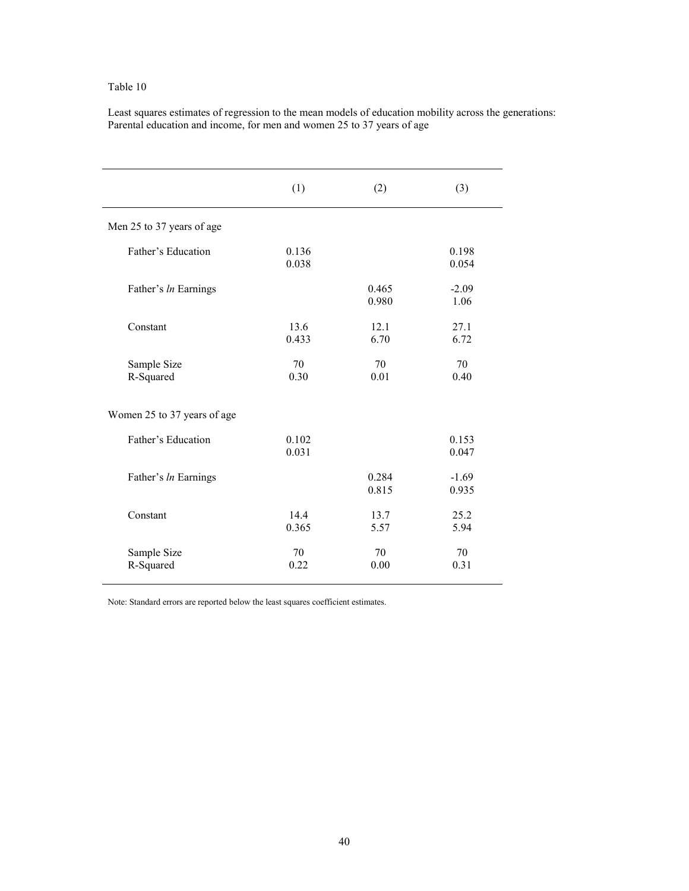Least squares estimates of regression to the mean models of education mobility across the generations: Parental education and income, for men and women 25 to 37 years of age

|                             | (1)            | (2)            | (3)              |
|-----------------------------|----------------|----------------|------------------|
| Men 25 to 37 years of age   |                |                |                  |
| Father's Education          | 0.136<br>0.038 |                | 0.198<br>0.054   |
| Father's In Earnings        |                | 0.465<br>0.980 | $-2.09$<br>1.06  |
| Constant                    | 13.6<br>0.433  | 12.1<br>6.70   | 27.1<br>6.72     |
| Sample Size<br>R-Squared    | 70<br>0.30     | 70<br>0.01     | 70<br>0.40       |
| Women 25 to 37 years of age |                |                |                  |
| Father's Education          | 0.102<br>0.031 |                | 0.153<br>0.047   |
| Father's In Earnings        |                | 0.284<br>0.815 | $-1.69$<br>0.935 |
| Constant                    | 144<br>0.365   | 13.7<br>5.57   | 25.2<br>5.94     |
| Sample Size<br>R-Squared    | 70<br>0.22     | 70<br>0.00     | 70<br>0.31       |

Note: Standard errors are reported below the least squares coefficient estimates.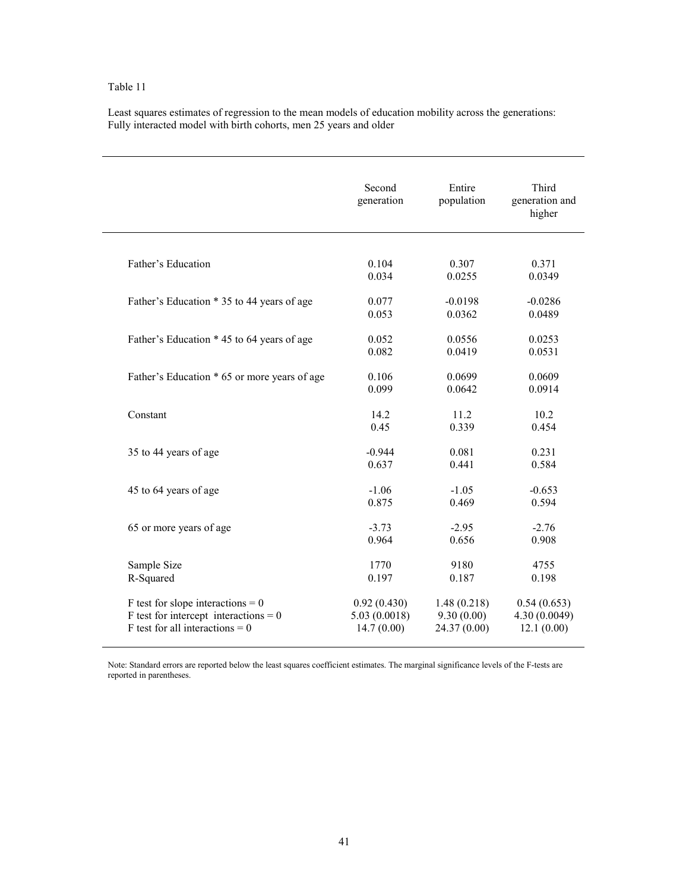Least squares estimates of regression to the mean models of education mobility across the generations: Fully interacted model with birth cohorts, men 25 years and older

|                                              | Second<br>generation | Entire<br>population | Third<br>generation and<br>higher |
|----------------------------------------------|----------------------|----------------------|-----------------------------------|
| Father's Education                           | 0.104                | 0.307                | 0.371                             |
|                                              | 0.034                | 0.0255               | 0.0349                            |
| Father's Education * 35 to 44 years of age   | 0.077                | $-0.0198$            | $-0.0286$                         |
|                                              | 0.053                | 0.0362               | 0.0489                            |
| Father's Education * 45 to 64 years of age   | 0.052                | 0.0556               | 0.0253                            |
|                                              | 0.082                | 0.0419               | 0.0531                            |
| Father's Education * 65 or more years of age | 0.106                | 0.0699               | 0.0609                            |
|                                              | 0.099                | 0.0642               | 0.0914                            |
| Constant                                     | 14.2                 | 11.2                 | 10.2                              |
|                                              | 0.45                 | 0.339                | 0.454                             |
| 35 to 44 years of age                        | $-0.944$             | 0.081                | 0.231                             |
|                                              | 0.637                | 0.441                | 0.584                             |
| 45 to 64 years of age                        | $-1.06$              | $-1.05$              | $-0.653$                          |
|                                              | 0.875                | 0.469                | 0.594                             |
| 65 or more years of age                      | $-3.73$              | $-2.95$              | $-2.76$                           |
|                                              | 0.964                | 0.656                | 0.908                             |
| Sample Size                                  | 1770                 | 9180                 | 4755                              |
| R-Squared                                    | 0.197                | 0.187                | 0.198                             |
| F test for slope interactions = $0$          | 0.92(0.430)          | 1.48(0.218)          | 0.54(0.653)                       |
| $F$ test for intercept interactions = 0      | 5.03(0.0018)         | 9.30(0.00)           | 4.30 (0.0049)                     |
| F test for all interactions = $0$            | 14.7(0.00)           | 24.37 (0.00)         | 12.1(0.00)                        |

Note: Standard errors are reported below the least squares coefficient estimates. The marginal significance levels of the F-tests are reported in parentheses.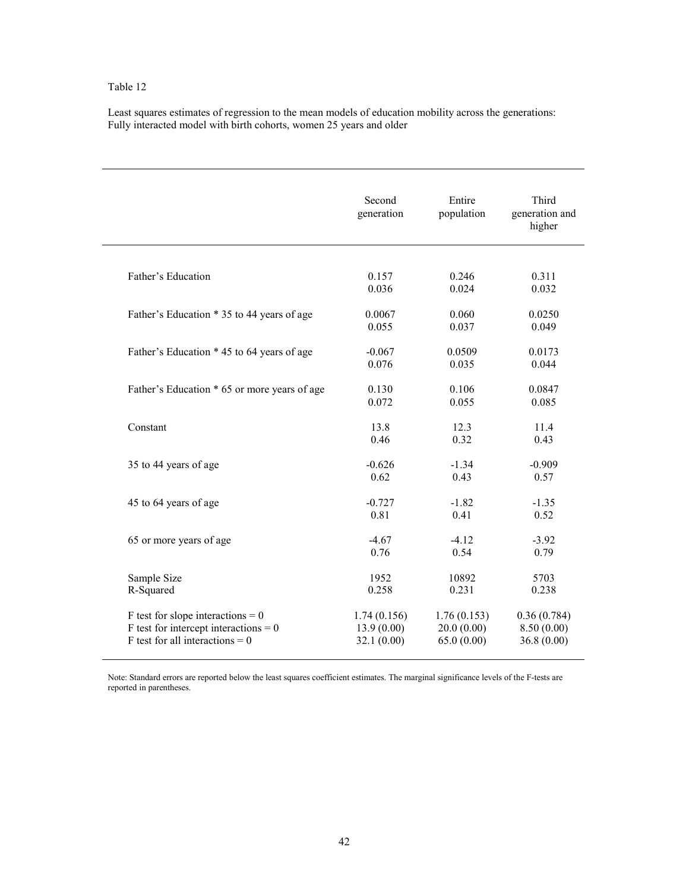Least squares estimates of regression to the mean models of education mobility across the generations: Fully interacted model with birth cohorts, women 25 years and older

|                                              | Second<br>generation | Entire<br>population | Third<br>generation and<br>higher |
|----------------------------------------------|----------------------|----------------------|-----------------------------------|
|                                              |                      |                      |                                   |
| Father's Education                           | 0.157                | 0.246                | 0.311                             |
|                                              | 0.036                | 0.024                | 0.032                             |
| Father's Education * 35 to 44 years of age   | 0.0067               | 0.060                | 0.0250                            |
|                                              | 0.055                | 0.037                | 0.049                             |
| Father's Education * 45 to 64 years of age   | $-0.067$             | 0.0509               | 0.0173                            |
|                                              | 0.076                | 0.035                | 0.044                             |
| Father's Education * 65 or more years of age | 0.130                | 0.106                | 0.0847                            |
|                                              | 0.072                | 0.055                | 0.085                             |
| Constant                                     | 13.8                 | 12.3                 | 11.4                              |
|                                              | 0.46                 | 0.32                 | 0.43                              |
| 35 to 44 years of age                        | $-0.626$             | $-1.34$              | $-0.909$                          |
|                                              | 0.62                 | 0.43                 | 0.57                              |
| 45 to 64 years of age                        | $-0.727$             | $-1.82$              | $-1.35$                           |
|                                              | 0.81                 | 0.41                 | 0.52                              |
| 65 or more years of age                      | $-4.67$              | $-4.12$              | $-3.92$                           |
|                                              | 0.76                 | 0.54                 | 0.79                              |
| Sample Size                                  | 1952                 | 10892                | 5703                              |
| R-Squared                                    | 0.258                | 0.231                | 0.238                             |
| F test for slope interactions = $0$          | 1.74(0.156)          | 1.76(0.153)          | 0.36(0.784)                       |
| $F$ test for intercept interactions = 0      | 13.9(0.00)           | 20.0(0.00)           | 8.50(0.00)                        |
| F test for all interactions = $0$            | 32.1(0.00)           | 65.0(0.00)           | 36.8(0.00)                        |

Note: Standard errors are reported below the least squares coefficient estimates. The marginal significance levels of the F-tests are reported in parentheses.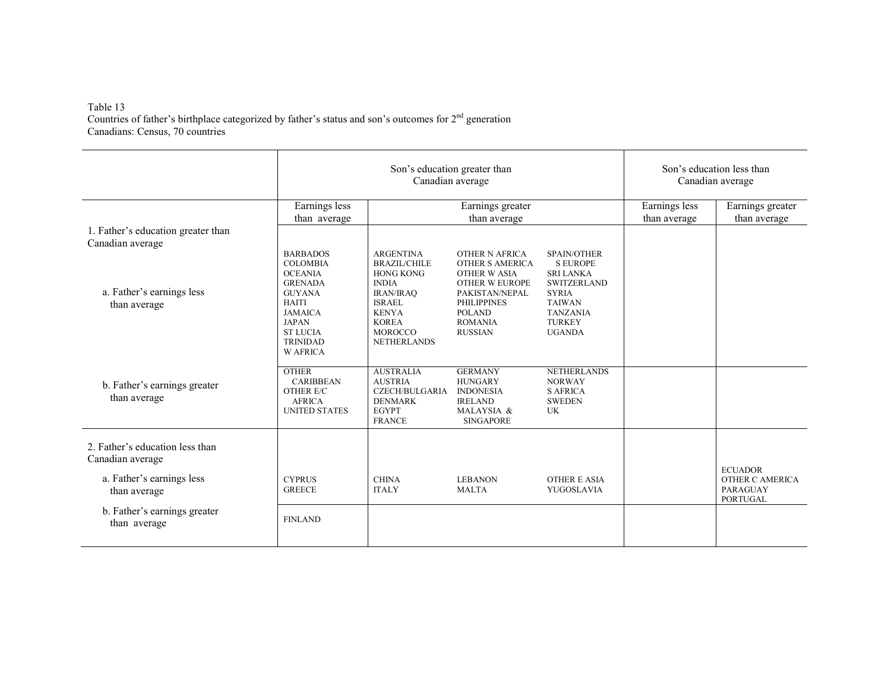# Table 13<br>Countries of father's birthplace categorized by father's status and son's outcomes for 2<sup>nd</sup> generation Canadians: Census, 70 countries

|                                                        |                                                                                                                                                                                                    | Son's education greater than<br>Canadian average                                                                                                                                         | Son's education less than<br>Canadian average                                                                                                                    |                                                                                                                                                                      |               |                                                                         |
|--------------------------------------------------------|----------------------------------------------------------------------------------------------------------------------------------------------------------------------------------------------------|------------------------------------------------------------------------------------------------------------------------------------------------------------------------------------------|------------------------------------------------------------------------------------------------------------------------------------------------------------------|----------------------------------------------------------------------------------------------------------------------------------------------------------------------|---------------|-------------------------------------------------------------------------|
|                                                        | Earnings less                                                                                                                                                                                      |                                                                                                                                                                                          | Earnings greater                                                                                                                                                 |                                                                                                                                                                      | Earnings less | Earnings greater                                                        |
| 1. Father's education greater than<br>Canadian average | than average                                                                                                                                                                                       |                                                                                                                                                                                          | than average                                                                                                                                                     |                                                                                                                                                                      | than average  | than average                                                            |
| a. Father's earnings less<br>than average              | <b>BARBADOS</b><br><b>COLOMBIA</b><br><b>OCEANIA</b><br><b>GRENADA</b><br><b>GUYANA</b><br><b>HAITI</b><br><b>JAMAICA</b><br><b>JAPAN</b><br><b>STILICIA</b><br><b>TRINIDAD</b><br><b>W AFRICA</b> | <b>ARGENTINA</b><br><b>BRAZIL/CHILE</b><br><b>HONG KONG</b><br><b>INDIA</b><br><b>IRAN/IRAO</b><br><b>ISRAEL</b><br><b>KENYA</b><br><b>KOREA</b><br><b>MOROCCO</b><br><b>NETHERLANDS</b> | OTHER N AFRICA<br>OTHER S AMERICA<br>OTHER W ASIA<br>OTHER W EUROPE<br>PAKISTAN/NEPAL<br><b>PHILIPPINES</b><br><b>POLAND</b><br><b>ROMANIA</b><br><b>RUSSIAN</b> | <b>SPAIN/OTHER</b><br><b>SEUROPE</b><br><b>SRI LANKA</b><br><b>SWITZERLAND</b><br><b>SYRIA</b><br><b>TAIWAN</b><br><b>TANZANIA</b><br><b>TURKEY</b><br><b>UGANDA</b> |               |                                                                         |
| b. Father's earnings greater<br>than average           | <b>OTHER</b><br><b>CARIBBEAN</b><br>OTHER E/C<br><b>AFRICA</b><br><b>UNITED STATES</b>                                                                                                             | <b>AUSTRALIA</b><br><b>AUSTRIA</b><br>CZECH/BULGARIA<br><b>DENMARK</b><br><b>EGYPT</b><br><b>FRANCE</b>                                                                                  | <b>GERMANY</b><br><b>HUNGARY</b><br><b>INDONESIA</b><br><b>IRELAND</b><br>MALAYSIA &<br><b>SINGAPORE</b>                                                         | <b>NETHERLANDS</b><br><b>NORWAY</b><br><b>S AFRICA</b><br><b>SWEDEN</b><br>UK                                                                                        |               |                                                                         |
| 2. Father's education less than<br>Canadian average    |                                                                                                                                                                                                    |                                                                                                                                                                                          |                                                                                                                                                                  |                                                                                                                                                                      |               |                                                                         |
| a. Father's earnings less<br>than average              | <b>CYPRUS</b><br><b>GREECE</b>                                                                                                                                                                     | <b>CHINA</b><br><b>ITALY</b>                                                                                                                                                             | <b>LEBANON</b><br><b>MALTA</b>                                                                                                                                   | <b>OTHER E ASIA</b><br>YUGOSLAVIA                                                                                                                                    |               | <b>ECUADOR</b><br>OTHER C AMERICA<br><b>PARAGUAY</b><br><b>PORTUGAL</b> |
| b. Father's earnings greater<br>than average           | <b>FINLAND</b>                                                                                                                                                                                     |                                                                                                                                                                                          |                                                                                                                                                                  |                                                                                                                                                                      |               |                                                                         |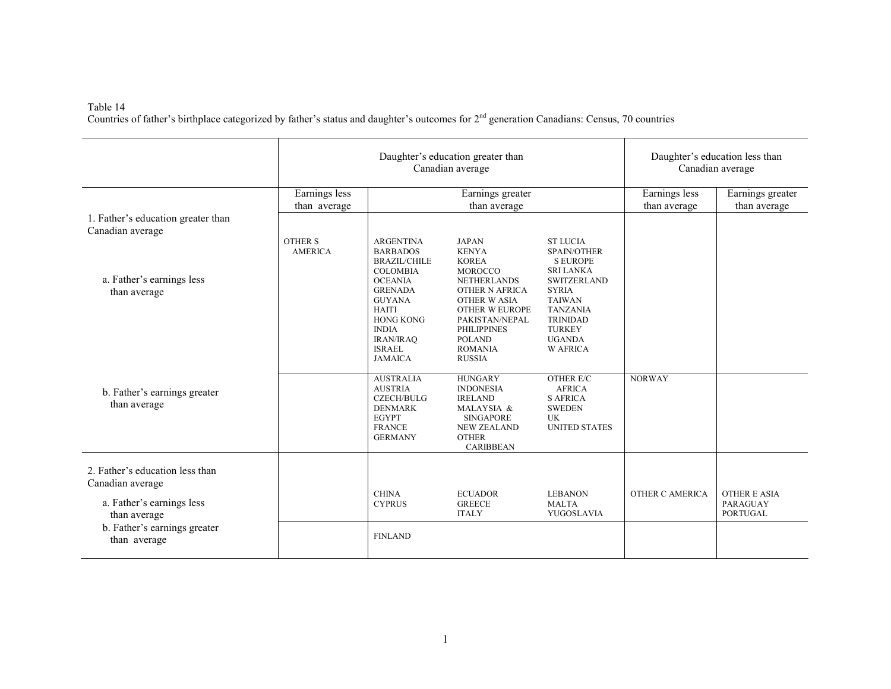Table 14 Countries of father's birthplace categorized by father's status and daughter's outcomes for  $2<sup>nd</sup>$  generation Canadians: Census, 70 countries

|                                                                                                                                                  |                                                                   | Daughter's education greater than<br>Canadian average                                                                                                                                                                     | Daughter's education less than<br>Canadian average                                                                                                                                                                                 |                                                                                                                                                                                                             |                               |                                                    |
|--------------------------------------------------------------------------------------------------------------------------------------------------|-------------------------------------------------------------------|---------------------------------------------------------------------------------------------------------------------------------------------------------------------------------------------------------------------------|------------------------------------------------------------------------------------------------------------------------------------------------------------------------------------------------------------------------------------|-------------------------------------------------------------------------------------------------------------------------------------------------------------------------------------------------------------|-------------------------------|----------------------------------------------------|
| 1. Father's education greater than                                                                                                               | Earnings less<br>Earnings greater<br>than average<br>than average |                                                                                                                                                                                                                           |                                                                                                                                                                                                                                    |                                                                                                                                                                                                             | Earnings less<br>than average | Earnings greater<br>than average                   |
| Canadian average                                                                                                                                 | <b>OTHER S</b>                                                    | <b>ARGENTINA</b>                                                                                                                                                                                                          | <b>JAPAN</b>                                                                                                                                                                                                                       | <b>ST LUCIA</b>                                                                                                                                                                                             |                               |                                                    |
| a. Father's earnings less<br>than average                                                                                                        | <b>AMERICA</b>                                                    | <b>BARBADOS</b><br><b>BRAZIL/CHILE</b><br><b>COLOMBIA</b><br><b>OCEANIA</b><br><b>GRENADA</b><br><b>GUYANA</b><br><b>HAITI</b><br><b>HONG KONG</b><br><b>INDIA</b><br><b>IRAN/IRAQ</b><br><b>ISRAEL</b><br><b>JAMAICA</b> | <b>KENYA</b><br><b>KOREA</b><br><b>MOROCCO</b><br><b>NETHERLANDS</b><br>OTHER N AFRICA<br><b>OTHER W ASIA</b><br><b>OTHER W EUROPE</b><br>PAKISTAN/NEPAL<br><b>PHILIPPINES</b><br><b>POLAND</b><br><b>ROMANIA</b><br><b>RUSSIA</b> | <b>SPAIN/OTHER</b><br><b>S EUROPE</b><br><b>SRI LANKA</b><br><b>SWITZERLAND</b><br><b>SYRIA</b><br><b>TAIWAN</b><br><b>TANZANIA</b><br><b>TRINIDAD</b><br><b>TURKEY</b><br><b>UGANDA</b><br><b>W AFRICA</b> |                               |                                                    |
| b. Father's earnings greater<br>than average                                                                                                     |                                                                   | <b>AUSTRALIA</b><br><b>AUSTRIA</b><br><b>CZECH/BULG</b><br><b>DENMARK</b><br><b>EGYPT</b><br><b>FRANCE</b><br><b>GERMANY</b>                                                                                              | <b>HUNGARY</b><br><b>INDONESIA</b><br><b>IRELAND</b><br>MALAYSIA &<br><b>SINGAPORE</b><br><b>NEW ZEALAND</b><br><b>OTHER</b><br><b>CARIBBEAN</b>                                                                                   | <b>OTHER E/C</b><br><b>AFRICA</b><br><b>S AFRICA</b><br><b>SWEDEN</b><br>UK<br><b>UNITED STATES</b>                                                                                                         | <b>NORWAY</b>                 |                                                    |
| 2. Father's education less than<br>Canadian average<br>a. Father's earnings less<br>than average<br>b. Father's earnings greater<br>than average |                                                                   | <b>CHINA</b><br><b>CYPRUS</b>                                                                                                                                                                                             | <b>ECUADOR</b><br><b>GREECE</b><br><b>ITALY</b>                                                                                                                                                                                    | <b>LEBANON</b><br><b>MALTA</b><br>YUGOSLAVIA                                                                                                                                                                | OTHER C AMERICA               | <b>OTHER E ASIA</b><br>PARAGUAY<br><b>PORTUGAL</b> |
|                                                                                                                                                  |                                                                   | <b>FINLAND</b>                                                                                                                                                                                                            |                                                                                                                                                                                                                                    |                                                                                                                                                                                                             |                               |                                                    |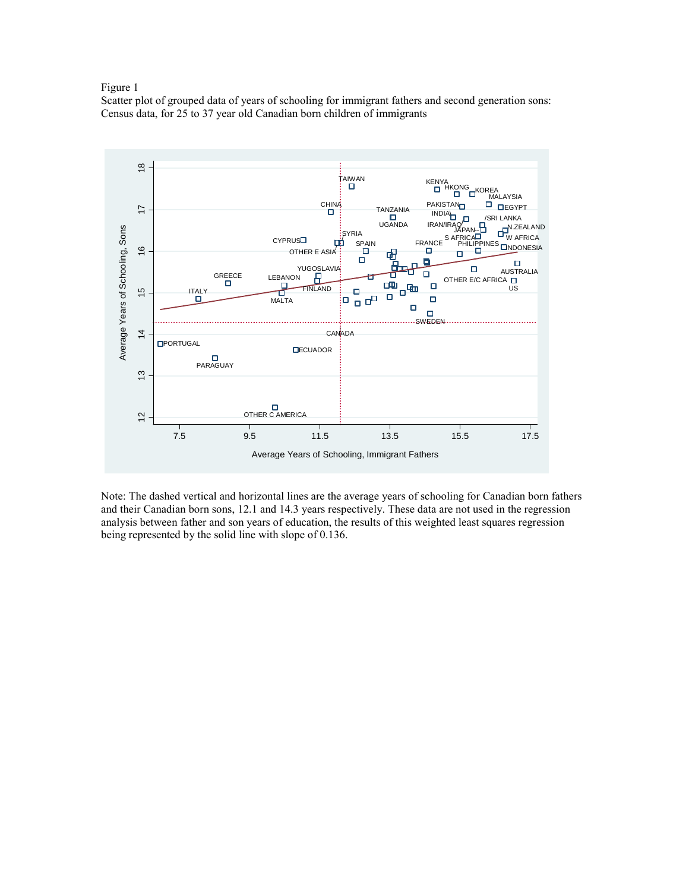#### Figure 1

Scatter plot of grouped data of years of schooling for immigrant fathers and second generation sons: Census data, for 25 to 37 year old Canadian born children of immigrants



Note: The dashed vertical and horizontal lines are the average years of schooling for Canadian born fathers and their Canadian born sons, 12.1 and 14.3 years respectively. These data are not used in the regression analysis between father and son years of education, the results of this weighted least squares regression being represented by the solid line with slope of 0.136.